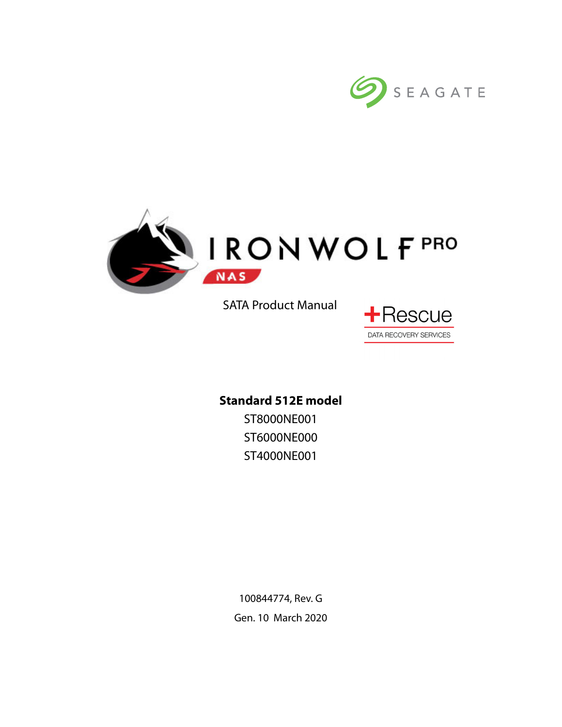



SATA Product Manual



**Standard 512E model** ST8000NE001 ST6000NE000 ST4000NE001

> 100844774, Rev. G Gen. 10 March 2020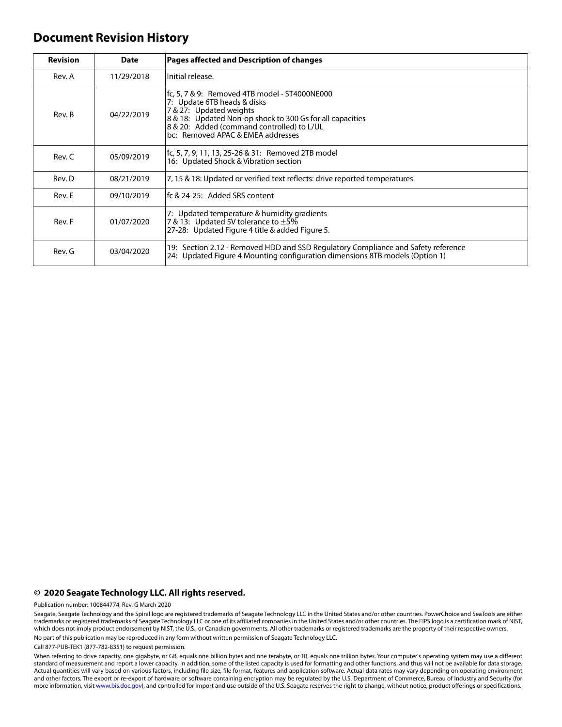### **Document Revision History**

| <b>Revision</b> | <b>Date</b> | Pages affected and Description of changes                                                                                                                                                                                                               |
|-----------------|-------------|---------------------------------------------------------------------------------------------------------------------------------------------------------------------------------------------------------------------------------------------------------|
| Rev. A          | 11/29/2018  | Initial release.                                                                                                                                                                                                                                        |
| Rev. B          | 04/22/2019  | fc, 5, 7 & 9: Removed 4TB model - ST4000NE000<br>7: Update 6TB heads & disks<br>7 & 27: Updated weights<br>8 & 18: Updated Non-op shock to 300 Gs for all capacities<br>8 & 20: Added (command controlled) to L/UL<br>bc: Removed APAC & EMEA addresses |
| Rev. C          | 05/09/2019  | fc, 5, 7, 9, 11, 13, 25-26 & 31: Removed 2TB model<br>16: Updated Shock & Vibration section                                                                                                                                                             |
| Rev. D          | 08/21/2019  | 7, 15 & 18: Updated or verified text reflects: drive reported temperatures                                                                                                                                                                              |
| Rev. E          | 09/10/2019  | lfc & 24-25: Added SRS content                                                                                                                                                                                                                          |
| Rev. F          | 01/07/2020  | 7: Updated temperature & humidity gradients<br>7 & 13: Updated 5V tolerance to $\pm 5\%$<br>27-28: Updated Figure 4 title & added Figure 5.                                                                                                             |
| Rev. G          | 03/04/2020  | 19: Section 2.12 - Removed HDD and SSD Regulatory Compliance and Safety reference<br>24: Updated Figure 4 Mounting configuration dimensions 8TB models (Option 1)                                                                                       |

#### **© 2020 Seagate Technology LLC. All rights reserved.**

Publication number: 100844774, Rev. G March 2020

Seagate, Seagate Technology and the Spiral logo are registered trademarks of Seagate Technology LLC in the United States and/or other countries. PowerChoice and SeaTools are either trademarks or registered trademarks of Seagate Technology LLC or one of its affiliated companies in the United States and/or other countries. The FIPS logo is a certification mark of NIST, which does not imply product endorsement by NIST, the U.S., or Canadian governments. All other trademarks or registered trademarks are the property of their respective owners. No part of this publication may be reproduced in any form without written permission of Seagate Technology LLC.

Call 877-PUB-TEK1 (877-782-8351) to request permission.

When referring to drive capacity, one gigabyte, or GB, equals one billion bytes and one terabyte, or TB, equals one trillion bytes. Your computer's operating system may use a different standard of measurement and report a lower capacity. In addition, some of the listed capacity is used for formatting and other functions, and thus will not be available for data storage. Actual quantities will vary based on various factors, including file size, file format, features and application software. Actual data rates may vary depending on operating environment and other factors. The export or re-export of hardware or software containing encryption may be regulated by the U.S. Department of Commerce, Bureau of Industry and Security (for more information, visit [www.bis.doc.gov](http://www.bis.doc.gov)), and controlled for import and use outside of the U.S. Seagate reserves the right to change, without notice, product offerings or specifications.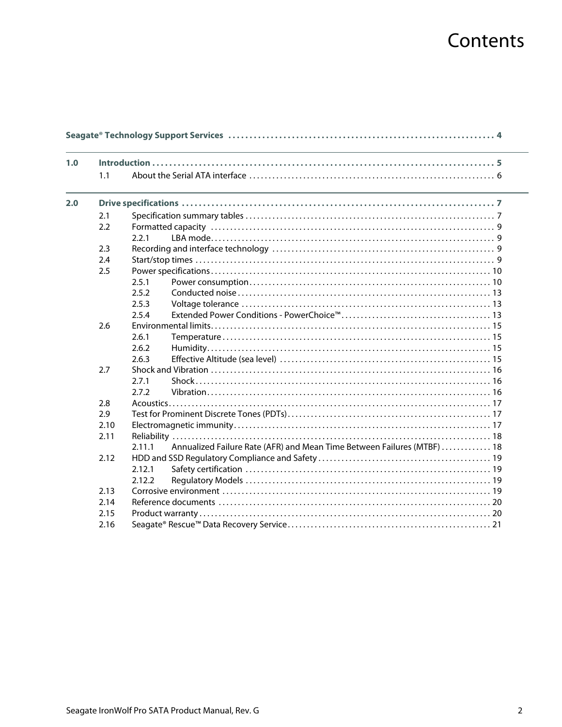# Contents

| 1.0 |      |        |                                                                         |
|-----|------|--------|-------------------------------------------------------------------------|
|     | 1.1  |        |                                                                         |
| 2.0 |      |        |                                                                         |
|     | 2.1  |        |                                                                         |
|     | 2.2  |        |                                                                         |
|     |      | 2.2.1  |                                                                         |
|     | 2.3  |        |                                                                         |
|     | 2.4  |        |                                                                         |
|     | 2.5  |        |                                                                         |
|     |      | 2.5.1  |                                                                         |
|     |      | 2.5.2  |                                                                         |
|     |      | 2.5.3  |                                                                         |
|     |      | 2.5.4  |                                                                         |
|     | 2.6  |        |                                                                         |
|     |      | 2.6.1  |                                                                         |
|     |      | 2.6.2  |                                                                         |
|     |      | 2.6.3  |                                                                         |
|     | 2.7  |        |                                                                         |
|     |      | 2.7.1  |                                                                         |
|     |      | 2.7.2  |                                                                         |
|     | 2.8  |        |                                                                         |
|     | 2.9  |        |                                                                         |
|     | 2.10 |        |                                                                         |
|     | 2.11 |        |                                                                         |
|     |      | 2.11.1 | Annualized Failure Rate (AFR) and Mean Time Between Failures (MTBF)  18 |
|     | 2.12 |        |                                                                         |
|     |      | 2.12.1 |                                                                         |
|     |      | 2.12.2 |                                                                         |
|     | 2.13 |        |                                                                         |
|     | 2.14 |        |                                                                         |
|     | 2.15 |        |                                                                         |
|     | 2.16 |        |                                                                         |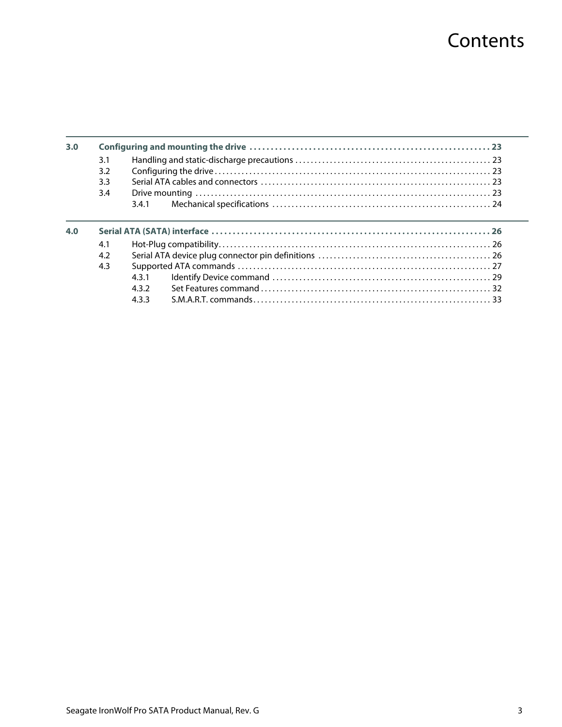# **Contents**

| 3.0 |     |     |  |
|-----|-----|-----|--|
|     | 3.1 |     |  |
|     | 3.2 |     |  |
|     | 3.3 |     |  |
|     | 3.4 |     |  |
|     |     | 341 |  |
|     |     |     |  |
|     |     |     |  |
| 4.0 | 4.1 |     |  |
|     | 4.2 |     |  |
|     | 4.3 |     |  |
|     |     | 431 |  |
|     |     | 432 |  |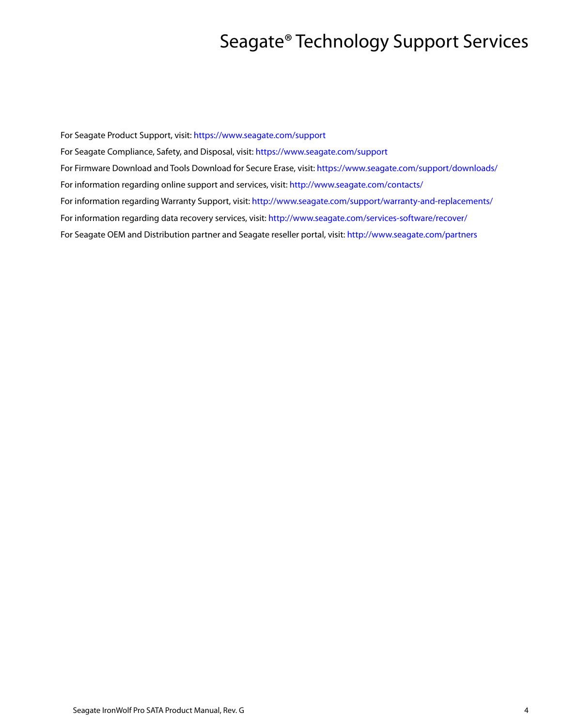# Seagate® Technology Support Services

<span id="page-4-0"></span>For Seagate Product Support, visit:<https://www.seagate.com/support> For Seagate Compliance, Safety, and Disposal, visit: <https://www.seagate.com/support> [For Firmware Download and Tools Download for Secure Erase, visit:](https://www.seagate.com/support/downloads/) https://www.seagate.com/support/downloads/ For information regarding online support and services, visit:<http://www.seagate.com/contacts/> [For information regarding Warranty Support, visit: h](http://www.seagate.com/support/warranty-and-replacements/)ttp://www.seagate.com/support/warranty-and-replacements/ For information regarding data recovery services, visit: [http://www.seagate.com/services-software/recover/](http://www.seagate.com/services-software/seagate-recovery-services/recover/) [For Seagate OEM and Distribution partner and Seagate reseller portal, visit:](http://www.seagate.com/partners) http://www.seagate.com/partners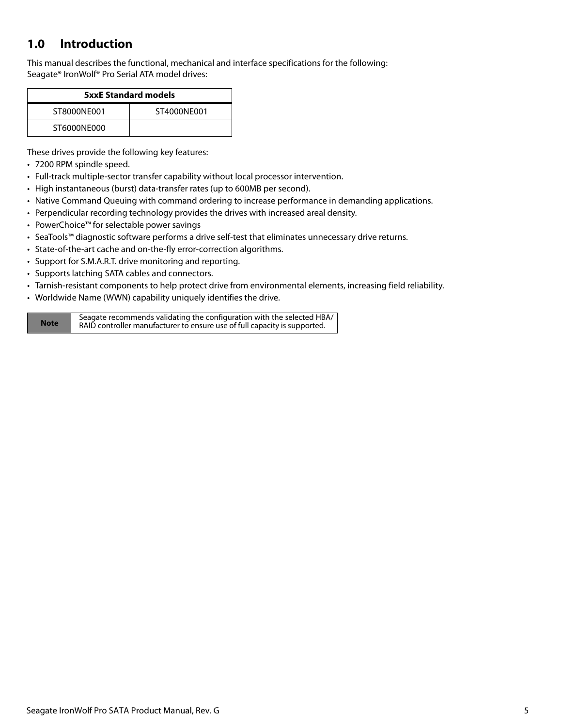## <span id="page-5-0"></span>**1.0 Introduction**

This manual describes the functional, mechanical and interface specifications for the following: Seagate® IronWolf® Pro Serial ATA model drives:

| <b>5xxE Standard models</b> |             |  |  |
|-----------------------------|-------------|--|--|
| ST8000NF001                 | ST4000NF001 |  |  |
| ST6000NE000                 |             |  |  |

These drives provide the following key features:

- 7200 RPM spindle speed.
- Full-track multiple-sector transfer capability without local processor intervention.
- High instantaneous (burst) data-transfer rates (up to 600MB per second).
- Native Command Queuing with command ordering to increase performance in demanding applications.
- Perpendicular recording technology provides the drives with increased areal density.
- PowerChoice™ for selectable power savings
- SeaTools™ diagnostic software performs a drive self-test that eliminates unnecessary drive returns.
- State-of-the-art cache and on-the-fly error-correction algorithms.
- Support for S.M.A.R.T. drive monitoring and reporting.
- Supports latching SATA cables and connectors.
- Tarnish-resistant components to help protect drive from environmental elements, increasing field reliability.
- Worldwide Name (WWN) capability uniquely identifies the drive.

**Note** Seagate recommends validating the configuration with the selected HBA/ RAID controller manufacturer to ensure use of full capacity is supported.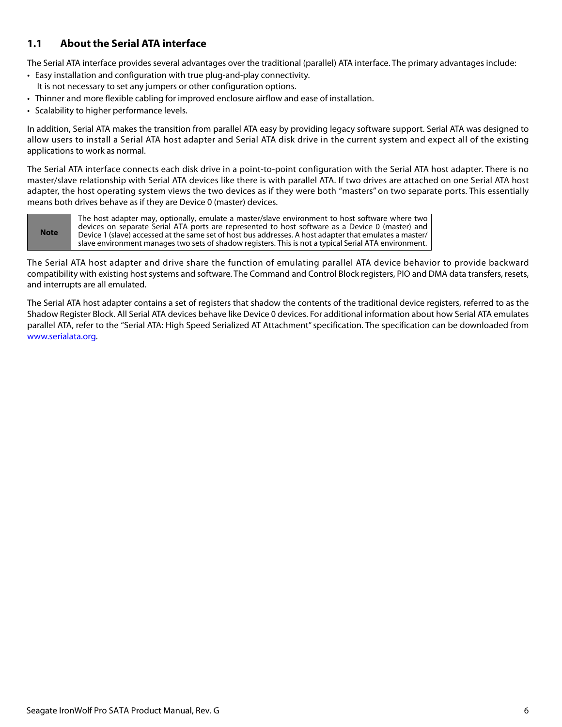### <span id="page-6-0"></span>**1.1 About the Serial ATA interface**

The Serial ATA interface provides several advantages over the traditional (parallel) ATA interface. The primary advantages include:

- Easy installation and configuration with true plug-and-play connectivity. It is not necessary to set any jumpers or other configuration options.
- Thinner and more flexible cabling for improved enclosure airflow and ease of installation.
- Scalability to higher performance levels.

In addition, Serial ATA makes the transition from parallel ATA easy by providing legacy software support. Serial ATA was designed to allow users to install a Serial ATA host adapter and Serial ATA disk drive in the current system and expect all of the existing applications to work as normal.

The Serial ATA interface connects each disk drive in a point-to-point configuration with the Serial ATA host adapter. There is no master/slave relationship with Serial ATA devices like there is with parallel ATA. If two drives are attached on one Serial ATA host adapter, the host operating system views the two devices as if they were both "masters" on two separate ports. This essentially means both drives behave as if they are Device 0 (master) devices.

**Note** The host adapter may, optionally, emulate a master/slave environment to host software where two devices on separate Serial ATA ports are represented to host software as a Device 0 (master) and Device 1 (slave) accessed at the same set of host bus addresses. A host adapter that emulates a master/ slave environment manages two sets of shadow registers. This is not a typical Serial ATA environment.

The Serial ATA host adapter and drive share the function of emulating parallel ATA device behavior to provide backward compatibility with existing host systems and software. The Command and Control Block registers, PIO and DMA data transfers, resets, and interrupts are all emulated.

The Serial ATA host adapter contains a set of registers that shadow the contents of the traditional device registers, referred to as the Shadow Register Block. All Serial ATA devices behave like Device 0 devices. For additional information about how Serial ATA emulates parallel ATA, refer to the "Serial ATA: High Speed Serialized AT Attachment" specification. The specification can be downloaded from [www.serialata.or](http://www.serialata.org)g.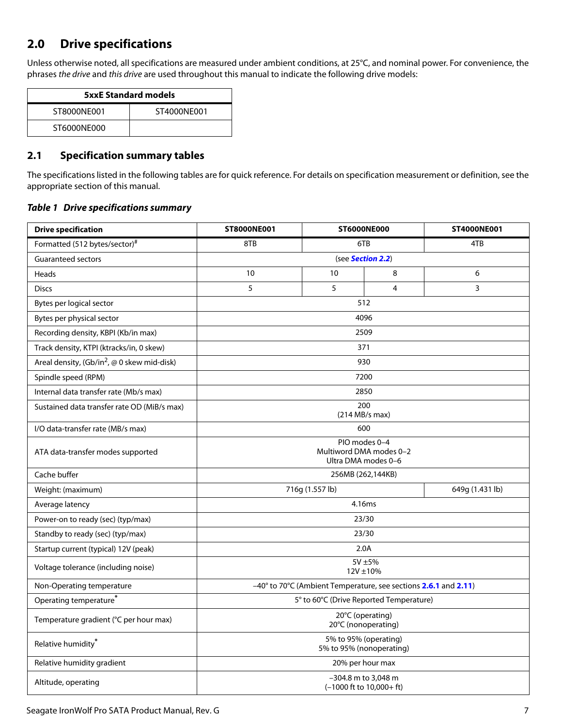## <span id="page-7-0"></span>**2.0 Drive specifications**

Unless otherwise noted, all specifications are measured under ambient conditions, at 25°C, and nominal power. For convenience, the phrases the drive and this drive are used throughout this manual to indicate the following drive models:

| <b>5xxE Standard models</b> |  |  |  |
|-----------------------------|--|--|--|
| ST8000NF001<br>ST4000NF001  |  |  |  |
| ST6000NF000                 |  |  |  |

### <span id="page-7-1"></span>**2.1 Specification summary tables**

The specifications listed in the following tables are for quick reference. For details on specification measurement or definition, see the appropriate section of this manual.

### *Table 1 Drive specifications summary*

| <b>Drive specification</b>                    | <b>ST8000NE001</b>                                              | <b>ST6000NE000</b> |                                                     | ST4000NE001     |  |
|-----------------------------------------------|-----------------------------------------------------------------|--------------------|-----------------------------------------------------|-----------------|--|
| Formatted (512 bytes/sector)#                 | 8TB                                                             | 6TB                |                                                     | 4TB             |  |
| <b>Guaranteed sectors</b>                     | (see Section 2.2)                                               |                    |                                                     |                 |  |
| Heads                                         | 10                                                              | 10                 | 8                                                   | 6               |  |
| <b>Discs</b>                                  | 5                                                               | 5                  | 4                                                   | 3               |  |
| Bytes per logical sector                      |                                                                 |                    | 512                                                 |                 |  |
| Bytes per physical sector                     |                                                                 |                    | 4096                                                |                 |  |
| Recording density, KBPI (Kb/in max)           |                                                                 |                    | 2509                                                |                 |  |
| Track density, KTPI (ktracks/in, 0 skew)      |                                                                 |                    | 371                                                 |                 |  |
| Areal density, $(Gb/in^2, @ 0$ skew mid-disk) |                                                                 |                    | 930                                                 |                 |  |
| Spindle speed (RPM)                           |                                                                 |                    | 7200                                                |                 |  |
| Internal data transfer rate (Mb/s max)        |                                                                 |                    | 2850                                                |                 |  |
| Sustained data transfer rate OD (MiB/s max)   |                                                                 |                    | 200<br>(214 MB/s max)                               |                 |  |
| I/O data-transfer rate (MB/s max)             | 600                                                             |                    |                                                     |                 |  |
| ATA data-transfer modes supported             | PIO modes 0-4<br>Multiword DMA modes 0-2<br>Ultra DMA modes 0-6 |                    |                                                     |                 |  |
| Cache buffer                                  | 256MB (262,144KB)                                               |                    |                                                     |                 |  |
| Weight: (maximum)                             | 716g (1.557 lb)                                                 |                    |                                                     | 649g (1.431 lb) |  |
| Average latency                               | 4.16ms                                                          |                    |                                                     |                 |  |
| Power-on to ready (sec) (typ/max)             | 23/30                                                           |                    |                                                     |                 |  |
| Standby to ready (sec) (typ/max)              | 23/30                                                           |                    |                                                     |                 |  |
| Startup current (typical) 12V (peak)          | 2.0A                                                            |                    |                                                     |                 |  |
| Voltage tolerance (including noise)           | $5V \pm 5%$<br>$12V \pm 10%$                                    |                    |                                                     |                 |  |
| Non-Operating temperature                     | -40° to 70°C (Ambient Temperature, see sections 2.6.1 and 2.11) |                    |                                                     |                 |  |
| Operating temperature*                        | 5° to 60°C (Drive Reported Temperature)                         |                    |                                                     |                 |  |
| Temperature gradient (°C per hour max)        | 20°C (operating)<br>20°C (nonoperating)                         |                    |                                                     |                 |  |
| Relative humidity*                            | 5% to 95% (operating)<br>5% to 95% (nonoperating)               |                    |                                                     |                 |  |
| Relative humidity gradient                    | 20% per hour max                                                |                    |                                                     |                 |  |
| Altitude, operating                           |                                                                 |                    | -304.8 m to 3,048 m<br>$(-1000$ ft to $10,000+$ ft) |                 |  |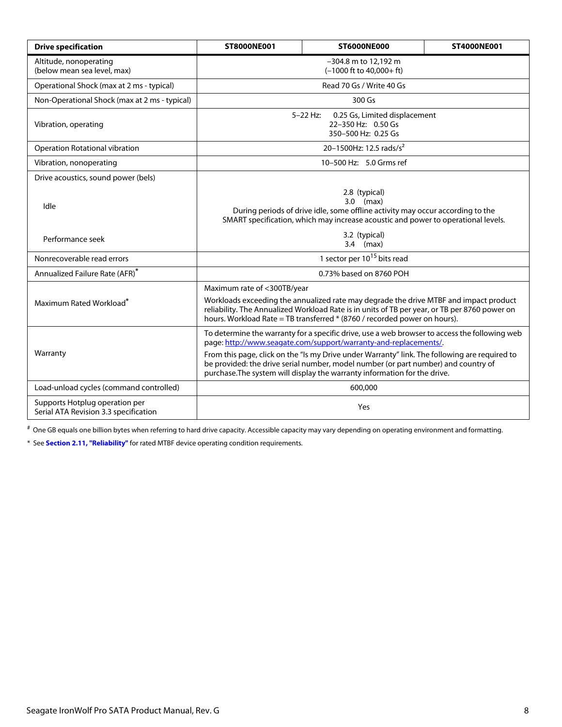| <b>Drive specification</b>                                              | ST8000NE001                                                                                                                                                                                                                                                                                                                                                                                                                           | <b>ST6000NE000</b>                  | ST4000NE001 |  |  |
|-------------------------------------------------------------------------|---------------------------------------------------------------------------------------------------------------------------------------------------------------------------------------------------------------------------------------------------------------------------------------------------------------------------------------------------------------------------------------------------------------------------------------|-------------------------------------|-------------|--|--|
| Altitude, nonoperating<br>(below mean sea level, max)                   | -304.8 m to 12,192 m<br>$(-1000 \text{ ft to } 40,000 + \text{ ft})$                                                                                                                                                                                                                                                                                                                                                                  |                                     |             |  |  |
| Operational Shock (max at 2 ms - typical)                               |                                                                                                                                                                                                                                                                                                                                                                                                                                       | Read 70 Gs / Write 40 Gs            |             |  |  |
| Non-Operational Shock (max at 2 ms - typical)                           |                                                                                                                                                                                                                                                                                                                                                                                                                                       | 300 Gs                              |             |  |  |
| Vibration, operating                                                    | $5 - 22$ Hz:<br>0.25 Gs, Limited displacement<br>22-350 Hz: 0.50 Gs<br>350-500 Hz: 0.25 Gs                                                                                                                                                                                                                                                                                                                                            |                                     |             |  |  |
| Operation Rotational vibration                                          |                                                                                                                                                                                                                                                                                                                                                                                                                                       | 20-1500Hz: 12.5 rads/s <sup>2</sup> |             |  |  |
| Vibration, nonoperating                                                 |                                                                                                                                                                                                                                                                                                                                                                                                                                       | 10-500 Hz: 5.0 Grms ref             |             |  |  |
| Drive acoustics, sound power (bels)                                     |                                                                                                                                                                                                                                                                                                                                                                                                                                       |                                     |             |  |  |
| Idle                                                                    | 2.8 (typical)<br>$3.0$ (max)<br>During periods of drive idle, some offline activity may occur according to the<br>SMART specification, which may increase acoustic and power to operational levels.                                                                                                                                                                                                                                   |                                     |             |  |  |
| Performance seek                                                        | 3.2 (typical)<br>$3.4$ (max)                                                                                                                                                                                                                                                                                                                                                                                                          |                                     |             |  |  |
| Nonrecoverable read errors                                              | 1 sector per 10 <sup>15</sup> bits read                                                                                                                                                                                                                                                                                                                                                                                               |                                     |             |  |  |
| Annualized Failure Rate (AFR)*                                          | 0.73% based on 8760 POH                                                                                                                                                                                                                                                                                                                                                                                                               |                                     |             |  |  |
| Maximum Rated Workload <sup>*</sup>                                     | Maximum rate of <300TB/year<br>Workloads exceeding the annualized rate may degrade the drive MTBF and impact product<br>reliability. The Annualized Workload Rate is in units of TB per year, or TB per 8760 power on<br>hours. Workload Rate = TB transferred * (8760 / recorded power on hours).                                                                                                                                    |                                     |             |  |  |
| Warranty                                                                | To determine the warranty for a specific drive, use a web browser to access the following web<br>page: http://www.seagate.com/support/warranty-and-replacements/.<br>From this page, click on the "Is my Drive under Warranty" link. The following are required to<br>be provided: the drive serial number, model number (or part number) and country of<br>purchase. The system will display the warranty information for the drive. |                                     |             |  |  |
| Load-unload cycles (command controlled)                                 | 600,000                                                                                                                                                                                                                                                                                                                                                                                                                               |                                     |             |  |  |
| Supports Hotplug operation per<br>Serial ATA Revision 3.3 specification | Yes                                                                                                                                                                                                                                                                                                                                                                                                                                   |                                     |             |  |  |

# One GB equals one billion bytes when referring to hard drive capacity. Accessible capacity may vary depending on operating environment and formatting.

<span id="page-8-0"></span>\* See **[Section 2.11, "Reliability"](#page-18-0)** for rated MTBF device operating condition requirements.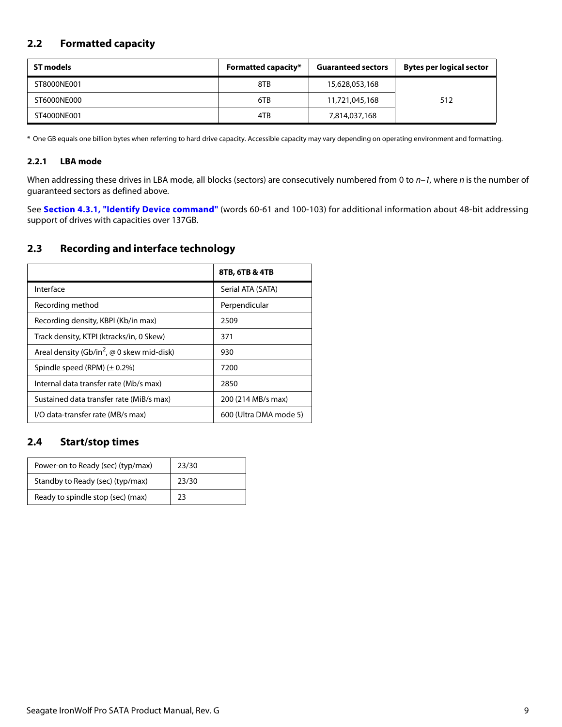### <span id="page-9-0"></span>**2.2 Formatted capacity**

| ST models   | <b>Formatted capacity*</b><br><b>Guaranteed sectors</b> |                | <b>Bytes per logical sector</b> |
|-------------|---------------------------------------------------------|----------------|---------------------------------|
| ST8000NE001 | 8TB                                                     | 15,628,053,168 |                                 |
| ST6000NE000 | 6TB                                                     | 11,721,045,168 | 512                             |
| ST4000NE001 | 4TB                                                     | 7,814,037,168  |                                 |

\* One GB equals one billion bytes when referring to hard drive capacity. Accessible capacity may vary depending on operating environment and formatting.

### <span id="page-9-1"></span>**2.2.1 LBA mode**

When addressing these drives in LBA mode, all blocks (sectors) are consecutively numbered from 0 to  $n-1$ , where n is the number of guaranteed sectors as defined above.

See **[Section 4.3.1, "Identify Device command"](#page-29-0)** (words 60-61 and 100-103) for additional information about 48-bit addressing support of drives with capacities over 137GB.

### <span id="page-9-2"></span>**2.3 Recording and interface technology**

|                                                               | 8TB, 6TB & 4TB         |
|---------------------------------------------------------------|------------------------|
| Interface                                                     | Serial ATA (SATA)      |
| Recording method                                              | Perpendicular          |
| Recording density, KBPI (Kb/in max)                           | 2509                   |
| Track density, KTPI (ktracks/in, 0 Skew)                      | 371                    |
| Areal density (Gb/in <sup>2</sup> , $\omega$ 0 skew mid-disk) | 930                    |
| Spindle speed (RPM) $(\pm 0.2\%)$                             | 7200                   |
| Internal data transfer rate (Mb/s max)                        | 2850                   |
| Sustained data transfer rate (MiB/s max)                      | 200 (214 MB/s max)     |
| I/O data-transfer rate (MB/s max)                             | 600 (Ultra DMA mode 5) |

### <span id="page-9-3"></span>**2.4 Start/stop times**

| Power-on to Ready (sec) (typ/max) | 23/30 |
|-----------------------------------|-------|
| Standby to Ready (sec) (typ/max)  | 23/30 |
| Ready to spindle stop (sec) (max) | 23    |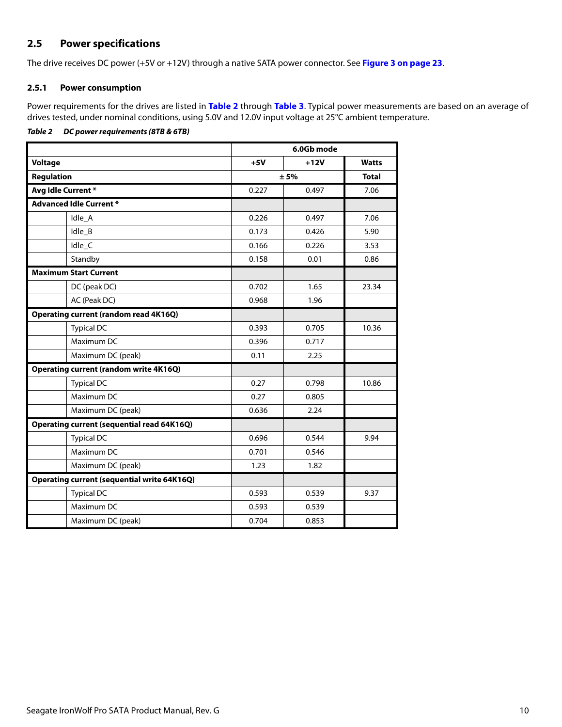### <span id="page-10-0"></span>**2.5 Power specifications**

The drive receives DC power (+5V or +12V) through a native SATA power connector. See **[Figure 3 on page 23](#page-23-5)**.

### <span id="page-10-1"></span>**2.5.1 Power consumption**

Power requirements for the drives are listed in **[Table 2](#page-10-2)** through **[Table 3](#page-11-0)**. Typical power measurements are based on an average of drives tested, under nominal conditions, using 5.0V and 12.0V input voltage at 25°C ambient temperature.

### <span id="page-10-2"></span>*Table 2 DC power requirements (8TB & 6TB)*

|                                                    | 6.0Gb mode |        |              |
|----------------------------------------------------|------------|--------|--------------|
| <b>Voltage</b>                                     | $+5V$      | $+12V$ | <b>Watts</b> |
| <b>Regulation</b>                                  |            | ± 5%   |              |
| Avg Idle Current*                                  | 0.227      | 0.497  | 7.06         |
| <b>Advanced Idle Current *</b>                     |            |        |              |
| Idle_A                                             | 0.226      | 0.497  | 7.06         |
| Idle_B                                             | 0.173      | 0.426  | 5.90         |
| Idle_C                                             | 0.166      | 0.226  | 3.53         |
| Standby                                            | 0.158      | 0.01   | 0.86         |
| <b>Maximum Start Current</b>                       |            |        |              |
| DC (peak DC)                                       | 0.702      | 1.65   | 23.34        |
| AC (Peak DC)                                       | 0.968      | 1.96   |              |
| Operating current (random read 4K16Q)              |            |        |              |
| <b>Typical DC</b>                                  | 0.393      | 0.705  | 10.36        |
| Maximum DC                                         | 0.396      | 0.717  |              |
| Maximum DC (peak)                                  | 0.11       | 2.25   |              |
| <b>Operating current (random write 4K16Q)</b>      |            |        |              |
| <b>Typical DC</b>                                  | 0.27       | 0.798  | 10.86        |
| Maximum DC                                         | 0.27       | 0.805  |              |
| Maximum DC (peak)                                  | 0.636      | 2.24   |              |
| <b>Operating current (sequential read 64K16Q)</b>  |            |        |              |
| <b>Typical DC</b>                                  | 0.696      | 0.544  | 9.94         |
| Maximum DC                                         | 0.701      | 0.546  |              |
| Maximum DC (peak)                                  | 1.23       | 1.82   |              |
| <b>Operating current (sequential write 64K16Q)</b> |            |        |              |
| <b>Typical DC</b>                                  | 0.593      | 0.539  | 9.37         |
| Maximum DC                                         | 0.593      | 0.539  |              |
| Maximum DC (peak)                                  | 0.704      | 0.853  |              |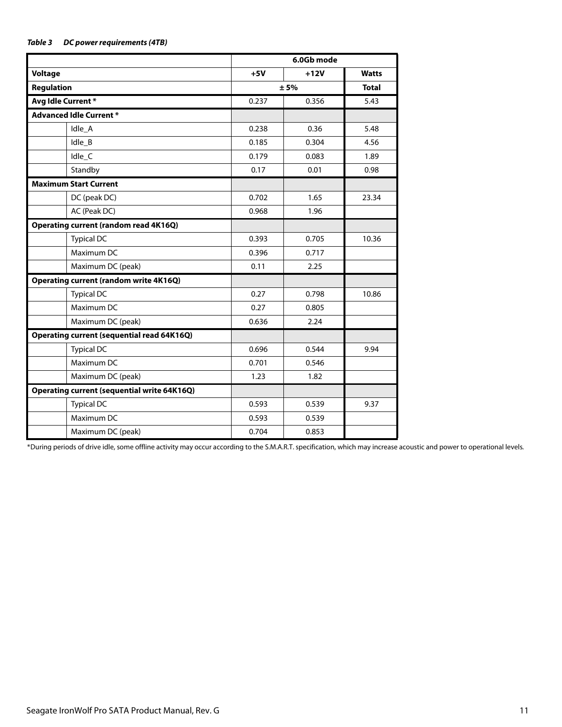### <span id="page-11-0"></span>*Table 3 DC power requirements (4TB)*

|                                                    | 6.0Gb mode |        |              |
|----------------------------------------------------|------------|--------|--------------|
| <b>Voltage</b>                                     | $+5V$      | $+12V$ | <b>Watts</b> |
| <b>Regulation</b>                                  |            | ± 5%   | <b>Total</b> |
| Avg Idle Current*                                  | 0.237      | 0.356  | 5.43         |
| <b>Advanced Idle Current *</b>                     |            |        |              |
| Idle_A                                             | 0.238      | 0.36   | 5.48         |
| Idle B                                             | 0.185      | 0.304  | 4.56         |
| Idle_C                                             | 0.179      | 0.083  | 1.89         |
| Standby                                            | 0.17       | 0.01   | 0.98         |
| <b>Maximum Start Current</b>                       |            |        |              |
| DC (peak DC)                                       | 0.702      | 1.65   | 23.34        |
| AC (Peak DC)                                       | 0.968      | 1.96   |              |
| <b>Operating current (random read 4K16Q)</b>       |            |        |              |
| <b>Typical DC</b>                                  | 0.393      | 0.705  | 10.36        |
| Maximum DC                                         | 0.396      | 0.717  |              |
| Maximum DC (peak)                                  | 0.11       | 2.25   |              |
| <b>Operating current (random write 4K16Q)</b>      |            |        |              |
| <b>Typical DC</b>                                  | 0.27       | 0.798  | 10.86        |
| Maximum DC                                         | 0.27       | 0.805  |              |
| Maximum DC (peak)                                  | 0.636      | 2.24   |              |
| <b>Operating current (sequential read 64K16Q)</b>  |            |        |              |
| <b>Typical DC</b>                                  | 0.696      | 0.544  | 9.94         |
| Maximum DC                                         | 0.701      | 0.546  |              |
| Maximum DC (peak)                                  | 1.23       | 1.82   |              |
| <b>Operating current (sequential write 64K16Q)</b> |            |        |              |
| <b>Typical DC</b>                                  | 0.593      | 0.539  | 9.37         |
| Maximum DC                                         | 0.593      | 0.539  |              |
| Maximum DC (peak)                                  | 0.704      | 0.853  |              |

\*During periods of drive idle, some offline activity may occur according to the S.M.A.R.T. specification, which may increase acoustic and power to operational levels.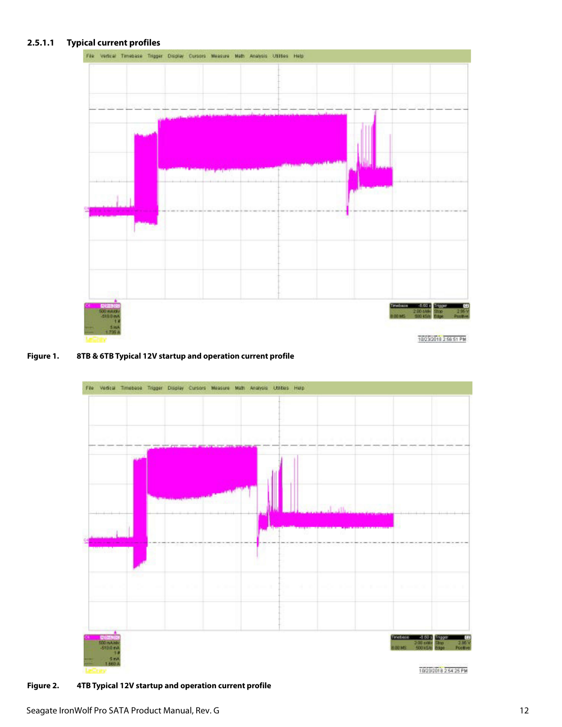### **2.5.1.1 Typical current profiles**



#### **Figure 1. 8TB & 6TB Typical 12V startup and operation current profile**



**Figure 2. 4TB Typical 12V startup and operation current profile**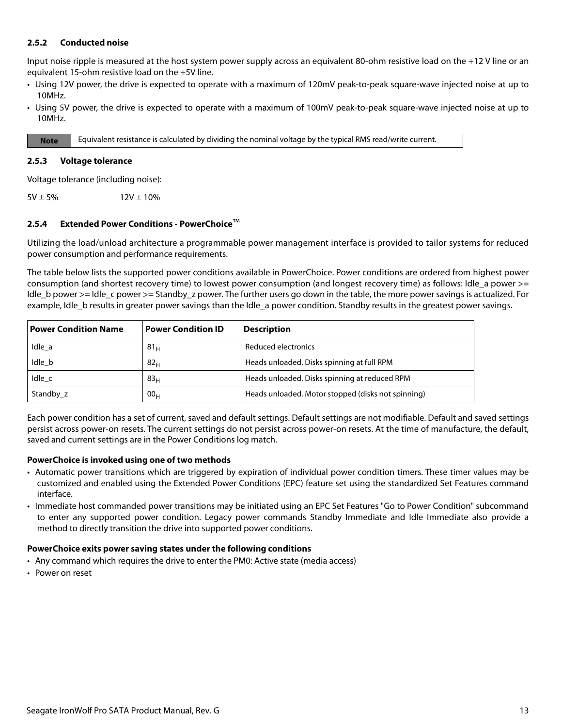### <span id="page-13-0"></span>**2.5.2 Conducted noise**

Input noise ripple is measured at the host system power supply across an equivalent 80-ohm resistive load on the +12 V line or an equivalent 15-ohm resistive load on the +5V line.

- Using 12V power, the drive is expected to operate with a maximum of 120mV peak-to-peak square-wave injected noise at up to 10MHz.
- Using 5V power, the drive is expected to operate with a maximum of 100mV peak-to-peak square-wave injected noise at up to 10MHz.

**Note** Equivalent resistance is calculated by dividing the nominal voltage by the typical RMS read/write current.

#### <span id="page-13-1"></span>**2.5.3 Voltage tolerance**

Voltage tolerance (including noise):

 $5V \pm 5\%$  12V  $\pm 10\%$ 

#### <span id="page-13-2"></span>**2.5.4 Extended Power Conditions - PowerChoice**™

Utilizing the load/unload architecture a programmable power management interface is provided to tailor systems for reduced power consumption and performance requirements.

The table below lists the supported power conditions available in PowerChoice. Power conditions are ordered from highest power consumption (and shortest recovery time) to lowest power consumption (and longest recovery time) as follows: Idle\_a power >= Idle b power >= Idle c power >= Standby z power. The further users go down in the table, the more power savings is actualized. For example, Idle b results in greater power savings than the Idle a power condition. Standby results in the greatest power savings.

| <b>Power Condition Name</b> | <b>Power Condition ID</b> | <b>Description</b>                                 |
|-----------------------------|---------------------------|----------------------------------------------------|
| Idle a                      | 81 <sub>H</sub>           | Reduced electronics                                |
| Idle b                      | 82 <sub>H</sub>           | Heads unloaded. Disks spinning at full RPM         |
| Idle c                      | 83 <sub>H</sub>           | Heads unloaded. Disks spinning at reduced RPM      |
| Standby z                   | 00 <sub>H</sub>           | Heads unloaded. Motor stopped (disks not spinning) |

Each power condition has a set of current, saved and default settings. Default settings are not modifiable. Default and saved settings persist across power-on resets. The current settings do not persist across power-on resets. At the time of manufacture, the default, saved and current settings are in the Power Conditions log match.

#### **PowerChoice is invoked using one of two methods**

- Automatic power transitions which are triggered by expiration of individual power condition timers. These timer values may be customized and enabled using the Extended Power Conditions (EPC) feature set using the standardized Set Features command interface.
- Immediate host commanded power transitions may be initiated using an EPC Set Features "Go to Power Condition" subcommand to enter any supported power condition. Legacy power commands Standby Immediate and Idle Immediate also provide a method to directly transition the drive into supported power conditions.

#### **PowerChoice exits power saving states under the following conditions**

- Any command which requires the drive to enter the PM0: Active state (media access)
- Power on reset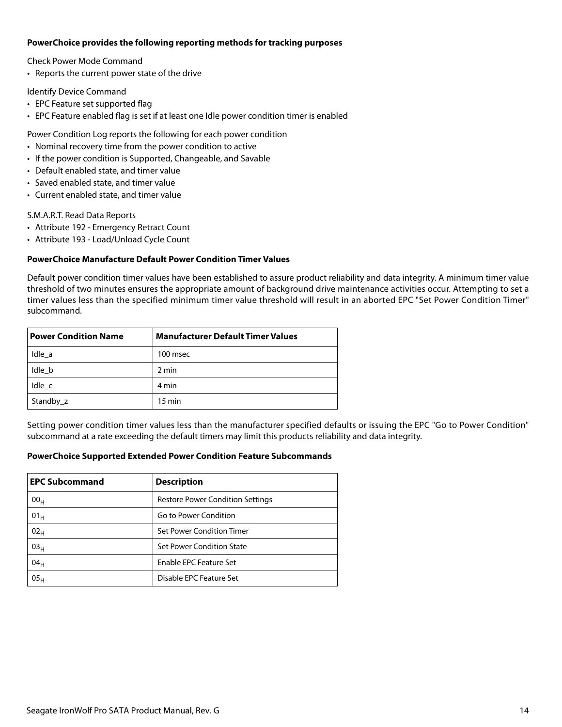#### **PowerChoice provides the following reporting methods for tracking purposes**

Check Power Mode Command

• Reports the current power state of the drive

Identify Device Command

- EPC Feature set supported flag
- EPC Feature enabled flag is set if at least one Idle power condition timer is enabled

Power Condition Log reports the following for each power condition

- Nominal recovery time from the power condition to active
- If the power condition is Supported, Changeable, and Savable
- Default enabled state, and timer value
- Saved enabled state, and timer value
- Current enabled state, and timer value

S.M.A.R.T. Read Data Reports

- Attribute 192 Emergency Retract Count
- Attribute 193 Load/Unload Cycle Count

### **PowerChoice Manufacture Default Power Condition Timer Values**

Default power condition timer values have been established to assure product reliability and data integrity. A minimum timer value threshold of two minutes ensures the appropriate amount of background drive maintenance activities occur. Attempting to set a timer values less than the specified minimum timer value threshold will result in an aborted EPC "Set Power Condition Timer" subcommand.

| <b>Power Condition Name</b> | <b>Manufacturer Default Timer Values</b> |  |
|-----------------------------|------------------------------------------|--|
| Idle a                      | 100 msec                                 |  |
| Idle b                      | 2 min                                    |  |
| Idle c                      | 4 min                                    |  |
| Standby_z                   | $15 \text{ min}$                         |  |

Setting power condition timer values less than the manufacturer specified defaults or issuing the EPC "Go to Power Condition" subcommand at a rate exceeding the default timers may limit this products reliability and data integrity.

#### **PowerChoice Supported Extended Power Condition Feature Subcommands**

| <b>EPC Subcommand</b> | <b>Description</b>                      |
|-----------------------|-----------------------------------------|
| 00 <sub>H</sub>       | <b>Restore Power Condition Settings</b> |
| $01_H$                | Go to Power Condition                   |
| 02 <sub>H</sub>       | Set Power Condition Timer               |
| 03 <sub>H</sub>       | Set Power Condition State               |
| 04 <sub>H</sub>       | Enable EPC Feature Set                  |
| 05 <sub>H</sub>       | Disable EPC Feature Set                 |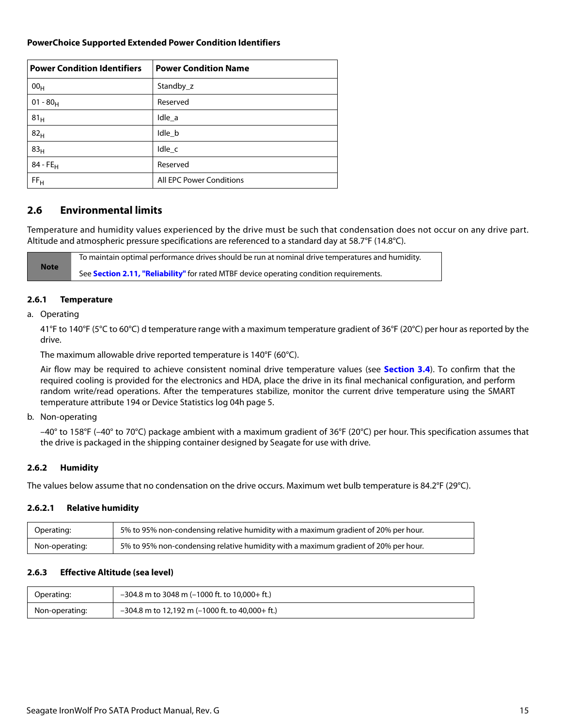### **PowerChoice Supported Extended Power Condition Identifiers**

| <b>Power Condition Identifiers</b> | <b>Power Condition Name</b>     |
|------------------------------------|---------------------------------|
| 00 <sub>H</sub>                    | Standby_z                       |
| $01 - 80_H$                        | Reserved                        |
| 81 <sub>H</sub>                    | Idle_a                          |
| 82 <sub>H</sub>                    | Idle_b                          |
| 83 <sub>H</sub>                    | Idle_c                          |
| $84 - FE_H$                        | Reserved                        |
| FF <sub>H</sub>                    | <b>All EPC Power Conditions</b> |

### <span id="page-15-0"></span>**2.6 Environmental limits**

Temperature and humidity values experienced by the drive must be such that condensation does not occur on any drive part. Altitude and atmospheric pressure specifications are referenced to a standard day at 58.7°F (14.8°C).

**Note** To maintain optimal performance drives should be run at nominal drive temperatures and humidity. See **[Section 2.11, "Reliability"](#page-18-0)** for rated MTBF device operating condition requirements.

#### <span id="page-15-1"></span>**2.6.1 Temperature**

a. Operating

41°F to 140°F (5°C to 60°C) d temperature range with a maximum temperature gradient of 36°F (20°C) per hour as reported by the drive.

The maximum allowable drive reported temperature is 140°F (60°C).

Air flow may be required to achieve consistent nominal drive temperature values (see **[Section 3.4](#page-23-4)**). To confirm that the required cooling is provided for the electronics and HDA, place the drive in its final mechanical configuration, and perform random write/read operations. After the temperatures stabilize, monitor the current drive temperature using the SMART temperature attribute 194 or Device Statistics log 04h page 5.

#### b. Non-operating

–40° to 158°F (–40° to 70°C) package ambient with a maximum gradient of 36°F (20°C) per hour. This specification assumes that the drive is packaged in the shipping container designed by Seagate for use with drive.

#### <span id="page-15-2"></span>**2.6.2 Humidity**

The values below assume that no condensation on the drive occurs. Maximum wet bulb temperature is 84.2°F (29°C).

#### **2.6.2.1 Relative humidity**

| Operating:     | 5% to 95% non-condensing relative humidity with a maximum gradient of 20% per hour. |
|----------------|-------------------------------------------------------------------------------------|
| Non-operating: | 5% to 95% non-condensing relative humidity with a maximum gradient of 20% per hour. |

### <span id="page-15-3"></span>**2.6.3 Effective Altitude (sea level)**

| Operating:     | $-304.8$ m to 3048 m (-1000 ft. to 10,000+ ft.) |
|----------------|-------------------------------------------------|
| Non-operating: | -304.8 m to 12,192 m (-1000 ft. to 40,000+ ft.) |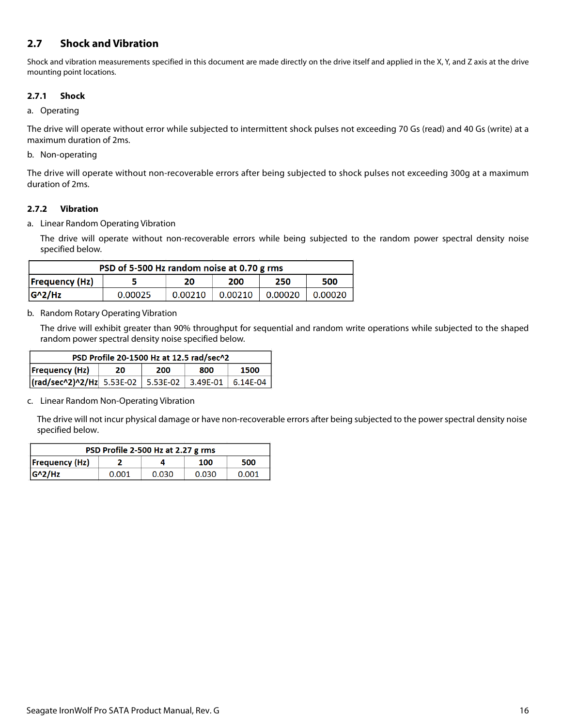### <span id="page-16-0"></span>**2.7 Shock and Vibration**

Shock and vibration measurements specified in this document are made directly on the drive itself and applied in the X, Y, and Z axis at the drive mounting point locations.

### <span id="page-16-1"></span>**2.7.1 Shock**

### a. Operating

The drive will operate without error while subjected to intermittent shock pulses not exceeding 70 Gs (read) and 40 Gs (write) at a maximum duration of 2ms.

### b. Non-operating

The drive will operate without non-recoverable errors after being subjected to shock pulses not exceeding 300g at a maximum duration of 2ms.

### <span id="page-16-2"></span>**2.7.2 Vibration**

a. Linear Random Operating Vibration

The drive will operate without non-recoverable errors while being subjected to the random power spectral density noise specified below.

| PSD of 5-500 Hz random noise at 0.70 g rms       |         |         |         |         |         |
|--------------------------------------------------|---------|---------|---------|---------|---------|
| <b>Frequency (Hz)</b><br>250<br>200<br>500<br>20 |         |         |         |         |         |
| $G^2/Hz$                                         | 0.00025 | 0.00210 | 0.00210 | 0.00020 | 0.00020 |

### b. Random Rotary Operating Vibration

The drive will exhibit greater than 90% throughput for sequential and random write operations while subjected to the shaped random power spectral density noise specified below.

| PSD Profile 20-1500 Hz at 12.5 rad/sec^2          |  |  |  |  |  |
|---------------------------------------------------|--|--|--|--|--|
| <b>Frequency (Hz)</b><br>1500<br>200<br>800<br>20 |  |  |  |  |  |
|                                                   |  |  |  |  |  |

c. Linear Random Non-Operating Vibration

The drive will not incur physical damage or have non-recoverable errors after being subjected to the power spectral density noise specified below.

| PSD Profile 2-500 Hz at 2.27 g rms |       |       |       |       |  |  |
|------------------------------------|-------|-------|-------|-------|--|--|
| Frequency(Hz) <br>500<br>100       |       |       |       |       |  |  |
| $ G^2/HZ $                         | 0.001 | 0.030 | 0.030 | 0.001 |  |  |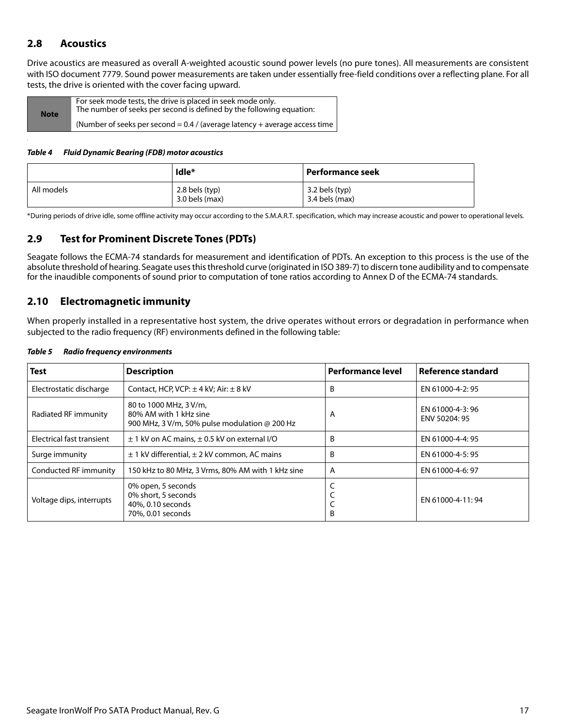### <span id="page-17-0"></span>**2.8 Acoustics**

Drive acoustics are measured as overall A-weighted acoustic sound power levels (no pure tones). All measurements are consistent with ISO document 7779. Sound power measurements are taken under essentially free-field conditions over a reflecting plane. For all tests, the drive is oriented with the cover facing upward.

| <b>Note</b> | For seek mode tests, the drive is placed in seek mode only.<br>The number of seeks per second is defined by the following equation: |
|-------------|-------------------------------------------------------------------------------------------------------------------------------------|
|             | (Number of seeks per second $= 0.4$ / (average latency + average access time )                                                      |

#### *Table 4 Fluid Dynamic Bearing (FDB) motor acoustics*

|            | Idle*                                | Performance seek                 |
|------------|--------------------------------------|----------------------------------|
| All models | $2.8$ bels (typ)<br>$3.0$ bels (max) | 3.2 bels (typ)<br>3.4 bels (max) |

\*During periods of drive idle, some offline activity may occur according to the S.M.A.R.T. specification, which may increase acoustic and power to operational levels.

### <span id="page-17-1"></span>**2.9 Test for Prominent Discrete Tones (PDTs)**

Seagate follows the ECMA-74 standards for measurement and identification of PDTs. An exception to this process is the use of the absolute threshold of hearing. Seagate uses this threshold curve (originated in ISO 389-7) to discern tone audibility and to compensate for the inaudible components of sound prior to computation of tone ratios according to Annex D of the ECMA-74 standards.

### <span id="page-17-2"></span>**2.10 Electromagnetic immunity**

When properly installed in a representative host system, the drive operates without errors or degradation in performance when subjected to the radio frequency (RF) environments defined in the following table:

| <b>Test</b>               | <b>Description</b>                                                                                       | <b>Performance level</b> | Reference standard               |
|---------------------------|----------------------------------------------------------------------------------------------------------|--------------------------|----------------------------------|
| Electrostatic discharge   | Contact, HCP, VCP: $\pm$ 4 kV; Air: $\pm$ 8 kV                                                           | B                        | EN 61000-4-2: 95                 |
| Radiated RF immunity      | 80 to 1000 MHz, 3 V/m,<br>80% AM with 1 kHz sine<br>900 MHz, 3 V/m, 50% pulse modulation $\omega$ 200 Hz | A                        | EN 61000-4-3:96<br>ENV 50204: 95 |
| Electrical fast transient | $\pm$ 1 kV on AC mains, $\pm$ 0.5 kV on external I/O                                                     | B                        | EN 61000-4-4: 95                 |
| Surge immunity            | $\pm$ 1 kV differential, $\pm$ 2 kV common, AC mains                                                     | B                        | EN 61000-4-5: 95                 |
| Conducted RF immunity     | 150 kHz to 80 MHz, 3 Vrms, 80% AM with 1 kHz sine                                                        | A                        | EN 61000-4-6: 97                 |
| Voltage dips, interrupts  | 0% open, 5 seconds<br>0% short, 5 seconds<br>40%, 0.10 seconds<br>70%, 0.01 seconds                      | B                        | EN 61000-4-11:94                 |

#### *Table 5 Radio frequency environments*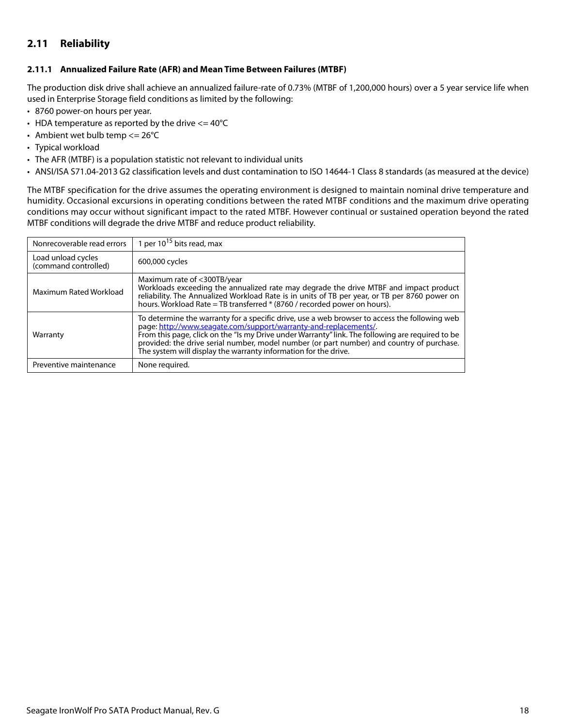### <span id="page-18-0"></span>**2.11 Reliability**

### <span id="page-18-1"></span>**2.11.1 Annualized Failure Rate (AFR) and Mean Time Between Failures (MTBF)**

The production disk drive shall achieve an annualized failure-rate of 0.73% (MTBF of 1,200,000 hours) over a 5 year service life when used in Enterprise Storage field conditions as limited by the following:

- 8760 power-on hours per year.
- HDA temperature as reported by the drive  $\epsilon$  = 40°C
- Ambient wet bulb temp  $<= 26^{\circ}C$
- Typical workload
- The AFR (MTBF) is a population statistic not relevant to individual units
- ANSI/ISA S71.04-2013 G2 classification levels and dust contamination to ISO 14644-1 Class 8 standards (as measured at the device)

The MTBF specification for the drive assumes the operating environment is designed to maintain nominal drive temperature and humidity. Occasional excursions in operating conditions between the rated MTBF conditions and the maximum drive operating conditions may occur without significant impact to the rated MTBF. However continual or sustained operation beyond the rated MTBF conditions will degrade the drive MTBF and reduce product reliability.

| Nonrecoverable read errors                 | 1 per $10^{15}$ bits read, max                                                                                                                                                                                                                                                                                                                                                                                                        |
|--------------------------------------------|---------------------------------------------------------------------------------------------------------------------------------------------------------------------------------------------------------------------------------------------------------------------------------------------------------------------------------------------------------------------------------------------------------------------------------------|
| Load unload cycles<br>(command controlled) | 600,000 cycles                                                                                                                                                                                                                                                                                                                                                                                                                        |
| Maximum Rated Workload                     | Maximum rate of <300TB/year<br>Workloads exceeding the annualized rate may degrade the drive MTBF and impact product<br>reliability. The Annualized Workload Rate is in units of TB per year, or TB per 8760 power on<br>hours. Workload Rate = TB transferred * (8760 / recorded power on hours).                                                                                                                                    |
| Warranty                                   | To determine the warranty for a specific drive, use a web browser to access the following web<br>page: http://www.seagate.com/support/warranty-and-replacements/.<br>From this page, click on the "Is my Drive under Warranty" link. The following are required to be<br>provided: the drive serial number, model number (or part number) and country of purchase.<br>The system will display the warranty information for the drive. |
| Preventive maintenance                     | None required.                                                                                                                                                                                                                                                                                                                                                                                                                        |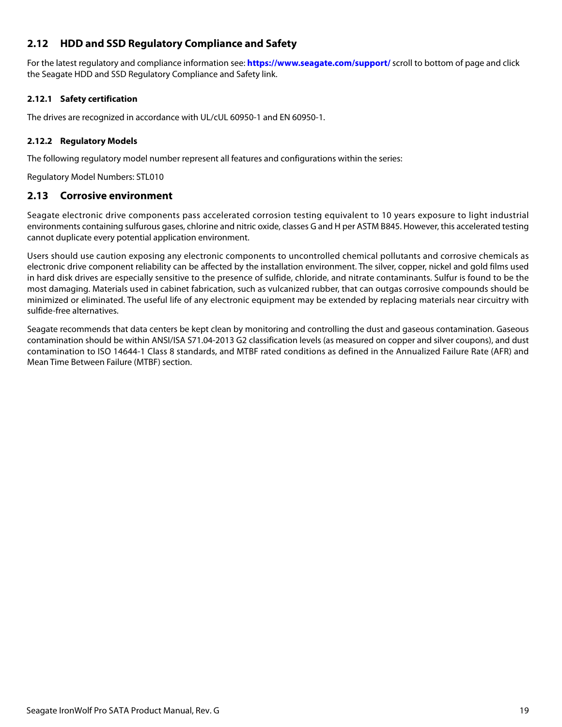### <span id="page-19-0"></span>**2.12 HDD and SSD Regulatory Compliance and Safety**

For the latest regulatory and compliance information see: **https://www.seagate.com/support/** scroll to bottom of page and click the Seagate HDD and SSD Regulatory Compliance and Safety link.

### <span id="page-19-1"></span>**2.12.1 Safety certification**

The drives are recognized in accordance with UL/cUL 60950-1 and EN 60950-1.

### <span id="page-19-2"></span>**2.12.2 Regulatory Models**

The following regulatory model number represent all features and configurations within the series:

Regulatory Model Numbers: STL010

### <span id="page-19-3"></span>**2.13 Corrosive environment**

Seagate electronic drive components pass accelerated corrosion testing equivalent to 10 years exposure to light industrial environments containing sulfurous gases, chlorine and nitric oxide, classes G and H per ASTM B845. However, this accelerated testing cannot duplicate every potential application environment.

Users should use caution exposing any electronic components to uncontrolled chemical pollutants and corrosive chemicals as electronic drive component reliability can be affected by the installation environment. The silver, copper, nickel and gold films used in hard disk drives are especially sensitive to the presence of sulfide, chloride, and nitrate contaminants. Sulfur is found to be the most damaging. Materials used in cabinet fabrication, such as vulcanized rubber, that can outgas corrosive compounds should be minimized or eliminated. The useful life of any electronic equipment may be extended by replacing materials near circuitry with sulfide-free alternatives.

Seagate recommends that data centers be kept clean by monitoring and controlling the dust and gaseous contamination. Gaseous contamination should be within ANSI/ISA S71.04-2013 G2 classification levels (as measured on copper and silver coupons), and dust contamination to ISO 14644-1 Class 8 standards, and MTBF rated conditions as defined in the Annualized Failure Rate (AFR) and Mean Time Between Failure (MTBF) section.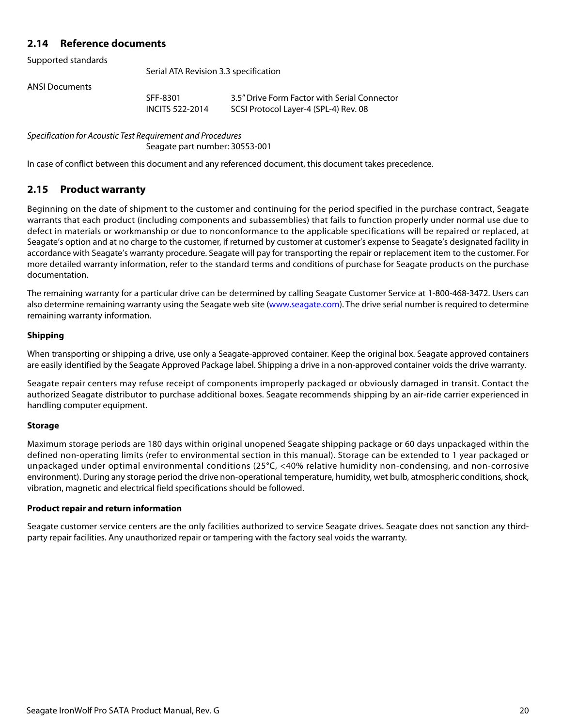### <span id="page-20-0"></span>**2.14 Reference documents**

Supported standards

Serial ATA Revision 3.3 specification

ANSI Documents

SFF-8301 3.5" Drive Form Factor with Serial Connector INCITS 522-2014 SCSI Protocol Layer-4 (SPL-4) Rev. 08

Specification for Acoustic Test Requirement and Procedures Seagate part number: 30553-001

In case of conflict between this document and any referenced document, this document takes precedence.

### <span id="page-20-1"></span>**2.15 Product warranty**

Beginning on the date of shipment to the customer and continuing for the period specified in the purchase contract, Seagate warrants that each product (including components and subassemblies) that fails to function properly under normal use due to defect in materials or workmanship or due to nonconformance to the applicable specifications will be repaired or replaced, at Seagate's option and at no charge to the customer, if returned by customer at customer's expense to Seagate's designated facility in accordance with Seagate's warranty procedure. Seagate will pay for transporting the repair or replacement item to the customer. For more detailed warranty information, refer to the standard terms and conditions of purchase for Seagate products on the purchase documentation.

[The remaining warranty for a particular drive can be determined by calling Seagate Customer Service at 1-800-468-3472. Users can](http://www.seagate.com) [also determine remaining warranty using the Seagate web site \(](http://www.seagate.com)www.seagate.com). The drive serial number is required to determine remaining warranty information.

### **Shipping**

When transporting or shipping a drive, use only a Seagate-approved container. Keep the original box. Seagate approved containers are easily identified by the Seagate Approved Package label. Shipping a drive in a non-approved container voids the drive warranty.

Seagate repair centers may refuse receipt of components improperly packaged or obviously damaged in transit. Contact the authorized Seagate distributor to purchase additional boxes. Seagate recommends shipping by an air-ride carrier experienced in handling computer equipment.

#### **Storage**

Maximum storage periods are 180 days within original unopened Seagate shipping package or 60 days unpackaged within the defined non-operating limits (refer to environmental section in this manual). Storage can be extended to 1 year packaged or unpackaged under optimal environmental conditions (25°C, <40% relative humidity non-condensing, and non-corrosive environment). During any storage period the drive non-operational temperature, humidity, wet bulb, atmospheric conditions, shock, vibration, magnetic and electrical field specifications should be followed.

#### **Product repair and return information**

Seagate customer service centers are the only facilities authorized to service Seagate drives. Seagate does not sanction any thirdparty repair facilities. Any unauthorized repair or tampering with the factory seal voids the warranty.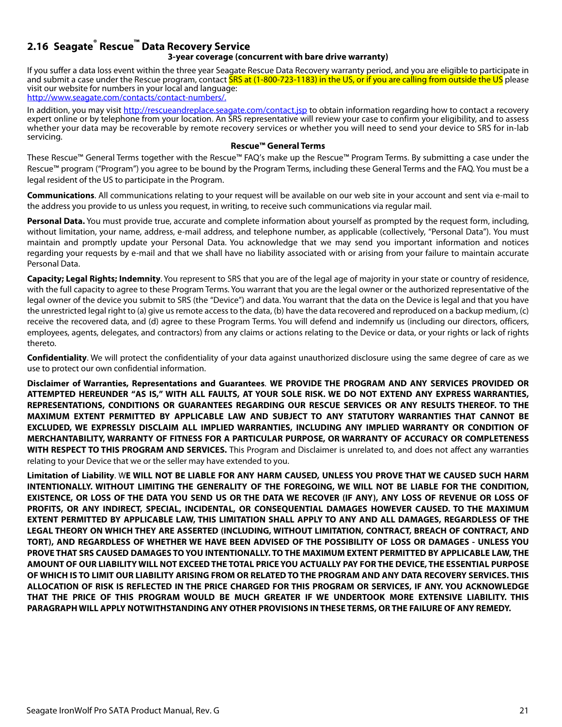### <span id="page-21-0"></span>**2.16 Seagate® Rescue™ Data Recovery Service 3-year coverage (concurrent with bare drive warranty)**

If you suffer a data loss event within the three year Seagate Rescue Data Recovery warranty period, and you are eligible to participate in and submit a case under the Rescue program, contact SRS at (1-800-723-1183) in the US, or if you are calling from outside the US please visit our website for numbers in your local and language: [http://www.seagate.com/contacts/contact-numbers/.](http://www.seagate.com/contacts/contact-numbers/)

[In addition, you may visit h](http://rescueandreplace.seagate.com/contact.jsp)ttp://rescueandreplace.seagate.com/contact.jsp to obtain information regarding how to contact a recovery expert online or by telephone from your location. An SRS representative will review your case to confirm your eligibility, and to assess whether your data may be recoverable by remote recovery services or whether you will need to send your device to SRS for in-lab servicing.

#### **Rescue™ General Terms**

These Rescue™ General Terms together with the Rescue™ FAQ's make up the Rescue™ Program Terms. By submitting a case under the Rescue™ program ("Program") you agree to be bound by the Program Terms, including these General Terms and the FAQ. You must be a legal resident of the US to participate in the Program.

**Communications**. All communications relating to your request will be available on our web site in your account and sent via e-mail to the address you provide to us unless you request, in writing, to receive such communications via regular mail.

**Personal Data.** You must provide true, accurate and complete information about yourself as prompted by the request form, including, without limitation, your name, address, e-mail address, and telephone number, as applicable (collectively, "Personal Data"). You must maintain and promptly update your Personal Data. You acknowledge that we may send you important information and notices regarding your requests by e-mail and that we shall have no liability associated with or arising from your failure to maintain accurate Personal Data.

**Capacity; Legal Rights; Indemnity**. You represent to SRS that you are of the legal age of majority in your state or country of residence, with the full capacity to agree to these Program Terms. You warrant that you are the legal owner or the authorized representative of the legal owner of the device you submit to SRS (the "Device") and data. You warrant that the data on the Device is legal and that you have the unrestricted legal right to (a) give us remote access to the data, (b) have the data recovered and reproduced on a backup medium, (c) receive the recovered data, and (d) agree to these Program Terms. You will defend and indemnify us (including our directors, officers, employees, agents, delegates, and contractors) from any claims or actions relating to the Device or data, or your rights or lack of rights thereto.

**Confidentiality**. We will protect the confidentiality of your data against unauthorized disclosure using the same degree of care as we use to protect our own confidential information.

**Disclaimer of Warranties, Representations and Guarantees**. **WE PROVIDE THE PROGRAM AND ANY SERVICES PROVIDED OR ATTEMPTED HEREUNDER "AS IS," WITH ALL FAULTS, AT YOUR SOLE RISK. WE DO NOT EXTEND ANY EXPRESS WARRANTIES, REPRESENTATIONS, CONDITIONS OR GUARANTEES REGARDING OUR RESCUE SERVICES OR ANY RESULTS THEREOF. TO THE MAXIMUM EXTENT PERMITTED BY APPLICABLE LAW AND SUBJECT TO ANY STATUTORY WARRANTIES THAT CANNOT BE EXCLUDED, WE EXPRESSLY DISCLAIM ALL IMPLIED WARRANTIES, INCLUDING ANY IMPLIED WARRANTY OR CONDITION OF MERCHANTABILITY, WARRANTY OF FITNESS FOR A PARTICULAR PURPOSE, OR WARRANTY OF ACCURACY OR COMPLETENESS WITH RESPECT TO THIS PROGRAM AND SERVICES.** This Program and Disclaimer is unrelated to, and does not affect any warranties relating to your Device that we or the seller may have extended to you.

**Limitation of Liability**. W**E WILL NOT BE LIABLE FOR ANY HARM CAUSED, UNLESS YOU PROVE THAT WE CAUSED SUCH HARM INTENTIONALLY. WITHOUT LIMITING THE GENERALITY OF THE FOREGOING, WE WILL NOT BE LIABLE FOR THE CONDITION, EXISTENCE, OR LOSS OF THE DATA YOU SEND US OR THE DATA WE RECOVER (IF ANY), ANY LOSS OF REVENUE OR LOSS OF PROFITS, OR ANY INDIRECT, SPECIAL, INCIDENTAL, OR CONSEQUENTIAL DAMAGES HOWEVER CAUSED. TO THE MAXIMUM EXTENT PERMITTED BY APPLICABLE LAW, THIS LIMITATION SHALL APPLY TO ANY AND ALL DAMAGES, REGARDLESS OF THE LEGAL THEORY ON WHICH THEY ARE ASSERTED (INCLUDING, WITHOUT LIMITATION, CONTRACT, BREACH OF CONTRACT, AND TORT), AND REGARDLESS OF WHETHER WE HAVE BEEN ADVISED OF THE POSSIBILITY OF LOSS OR DAMAGES - UNLESS YOU PROVE THAT SRS CAUSED DAMAGES TO YOU INTENTIONALLY. TO THE MAXIMUM EXTENT PERMITTED BY APPLICABLE LAW, THE AMOUNT OF OUR LIABILITY WILL NOT EXCEED THE TOTAL PRICE YOU ACTUALLY PAY FOR THE DEVICE, THE ESSENTIAL PURPOSE OF WHICH IS TO LIMIT OUR LIABILITY ARISING FROM OR RELATED TO THE PROGRAM AND ANY DATA RECOVERY SERVICES. THIS ALLOCATION OF RISK IS REFLECTED IN THE PRICE CHARGED FOR THIS PROGRAM OR SERVICES, IF ANY. YOU ACKNOWLEDGE THAT THE PRICE OF THIS PROGRAM WOULD BE MUCH GREATER IF WE UNDERTOOK MORE EXTENSIVE LIABILITY. THIS PARAGRAPH WILL APPLY NOTWITHSTANDING ANY OTHER PROVISIONS IN THESE TERMS, OR THE FAILURE OF ANY REMEDY.**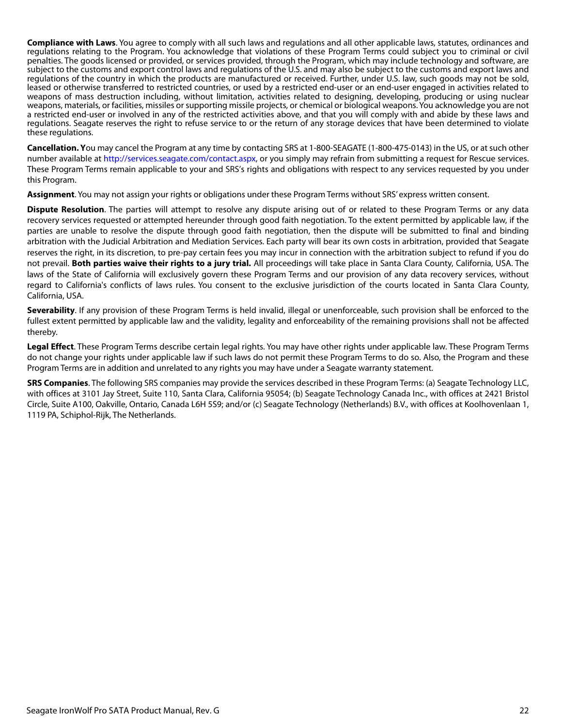**Compliance with Laws**. You agree to comply with all such laws and regulations and all other applicable laws, statutes, ordinances and regulations relating to the Program. You acknowledge that violations of these Program Terms could subject you to criminal or civil penalties. The goods licensed or provided, or services provided, through the Program, which may include technology and software, are subject to the customs and export control laws and regulations of the U.S. and may also be subject to the customs and export laws and regulations of the country in which the products are manufactured or received. Further, under U.S. law, such goods may not be sold, leased or otherwise transferred to restricted countries, or used by a restricted end-user or an end-user engaged in activities related to weapons of mass destruction including, without limitation, activities related to designing, developing, producing or using nuclear weapons, materials, or facilities, missiles or supporting missile projects, or chemical or biological weapons. You acknowledge you are not a restricted end-user or involved in any of the restricted activities above, and that you will comply with and abide by these laws and regulations. Seagate reserves the right to refuse service to or the return of any storage devices that have been determined to violate these regulations.

**Cancellation. Y**[ou may cancel the Program at any time by contacting SRS at 1-800-SEAGATE \(1-800-475-0143\) in the US, or at such other](http://services.seagate.com/contact.aspx) [number available at h](http://services.seagate.com/contact.aspx)ttp://services.seagate.com/contact.aspx, or you simply may refrain from submitting a request for Rescue services. These Program Terms remain applicable to your and SRS's rights and obligations with respect to any services requested by you under this Program.

**Assignment**. You may not assign your rights or obligations under these Program Terms without SRS' express written consent.

**Dispute Resolution**. The parties will attempt to resolve any dispute arising out of or related to these Program Terms or any data recovery services requested or attempted hereunder through good faith negotiation. To the extent permitted by applicable law, if the parties are unable to resolve the dispute through good faith negotiation, then the dispute will be submitted to final and binding arbitration with the Judicial Arbitration and Mediation Services. Each party will bear its own costs in arbitration, provided that Seagate reserves the right, in its discretion, to pre-pay certain fees you may incur in connection with the arbitration subject to refund if you do not prevail. **Both parties waive their rights to a jury trial.** All proceedings will take place in Santa Clara County, California, USA. The laws of the State of California will exclusively govern these Program Terms and our provision of any data recovery services, without regard to California's conflicts of laws rules. You consent to the exclusive jurisdiction of the courts located in Santa Clara County, California, USA.

**Severability**. If any provision of these Program Terms is held invalid, illegal or unenforceable, such provision shall be enforced to the fullest extent permitted by applicable law and the validity, legality and enforceability of the remaining provisions shall not be affected thereby.

**Legal Effect**. These Program Terms describe certain legal rights. You may have other rights under applicable law. These Program Terms do not change your rights under applicable law if such laws do not permit these Program Terms to do so. Also, the Program and these Program Terms are in addition and unrelated to any rights you may have under a Seagate warranty statement.

**SRS Companies**. The following SRS companies may provide the services described in these Program Terms: (a) Seagate Technology LLC, with offices at 3101 Jay Street, Suite 110, Santa Clara, California 95054; (b) Seagate Technology Canada Inc., with offices at 2421 Bristol Circle, Suite A100, Oakville, Ontario, Canada L6H 5S9; and/or (c) Seagate Technology (Netherlands) B.V., with offices at Koolhovenlaan 1, 1119 PA, Schiphol-Rijk, The Netherlands.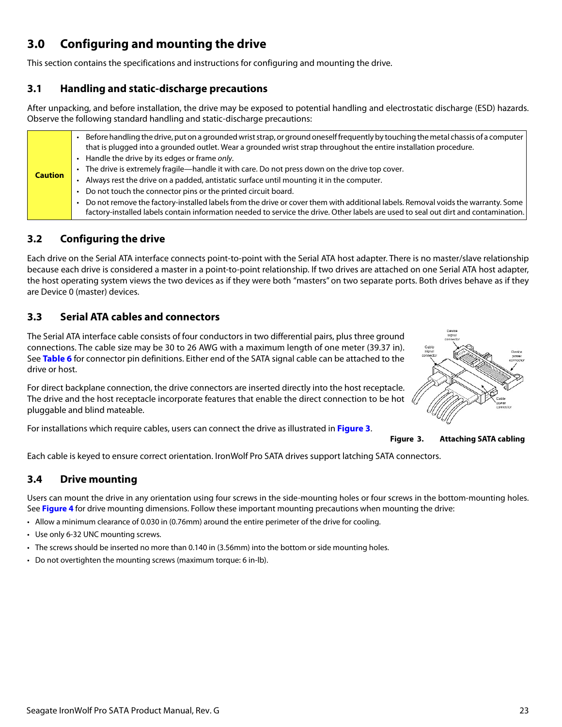# <span id="page-23-0"></span>**3.0 Configuring and mounting the drive**

This section contains the specifications and instructions for configuring and mounting the drive.

### <span id="page-23-1"></span>**3.1 Handling and static-discharge precautions**

After unpacking, and before installation, the drive may be exposed to potential handling and electrostatic discharge (ESD) hazards. Observe the following standard handling and static-discharge precautions:

| <b>Caution</b> |
|----------------|

### <span id="page-23-2"></span>**3.2 Configuring the drive**

Each drive on the Serial ATA interface connects point-to-point with the Serial ATA host adapter. There is no master/slave relationship because each drive is considered a master in a point-to-point relationship. If two drives are attached on one Serial ATA host adapter, the host operating system views the two devices as if they were both "masters" on two separate ports. Both drives behave as if they are Device 0 (master) devices.

### <span id="page-23-3"></span>**3.3 Serial ATA cables and connectors**

The Serial ATA interface cable consists of four conductors in two differential pairs, plus three ground connections. The cable size may be 30 to 26 AWG with a maximum length of one meter (39.37 in). See **Table 6** for connector pin definitions. Either end of the SATA signal cable can be attached to the drive or host.

For direct backplane connection, the drive connectors are inserted directly into the host receptacle. The drive and the host receptacle incorporate features that enable the direct connection to be hot  $\sqrt{2}$ pluggable and blind mateable.

<span id="page-23-5"></span>For installations which require cables, users can connect the drive as illustrated in **[Figure 3](#page-23-5)**.



**Figure 3. Attaching SATA cabling**

Each cable is keyed to ensure correct orientation. IronWolf Pro SATA drives support latching SATA connectors.

### <span id="page-23-4"></span>**3.4 Drive mounting**

Users can mount the drive in any orientation using four screws in the side-mounting holes or four screws in the bottom-mounting holes. See **Figure 4** for drive mounting dimensions. Follow these important mounting precautions when mounting the drive:

- Allow a minimum clearance of 0.030 in (0.76mm) around the entire perimeter of the drive for cooling.
- Use only 6-32 UNC mounting screws.
- The screws should be inserted no more than 0.140 in (3.56mm) into the bottom or side mounting holes.
- Do not overtighten the mounting screws (maximum torque: 6 in-lb).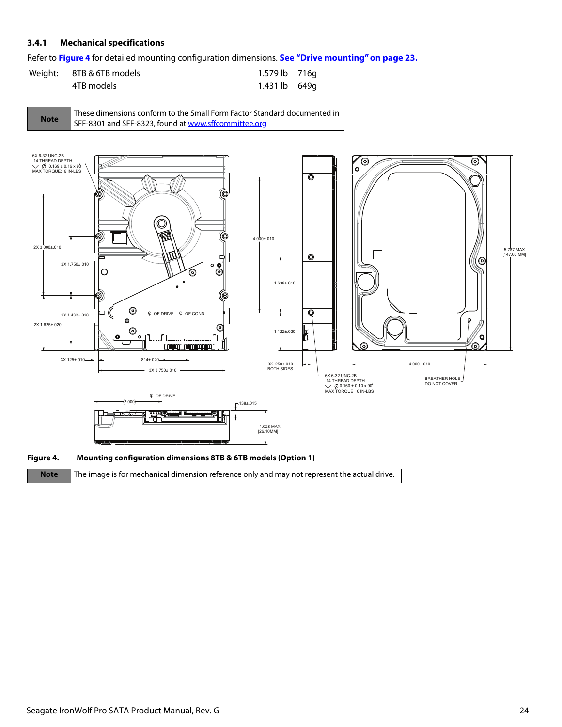### <span id="page-24-0"></span>**3.4.1 Mechanical specifications**

Refer to **Figure 4** for detailed mounting configuration dimensions. **[See "Drive mounting" on page 23.](#page-23-4)**

| Weight: 8TB & 6TB models | 1.579 lb 716g |  |
|--------------------------|---------------|--|
| 4TB models               | 1.431 lb 649q |  |







**Note** The image is for mechanical dimension reference only and may not represent the actual drive.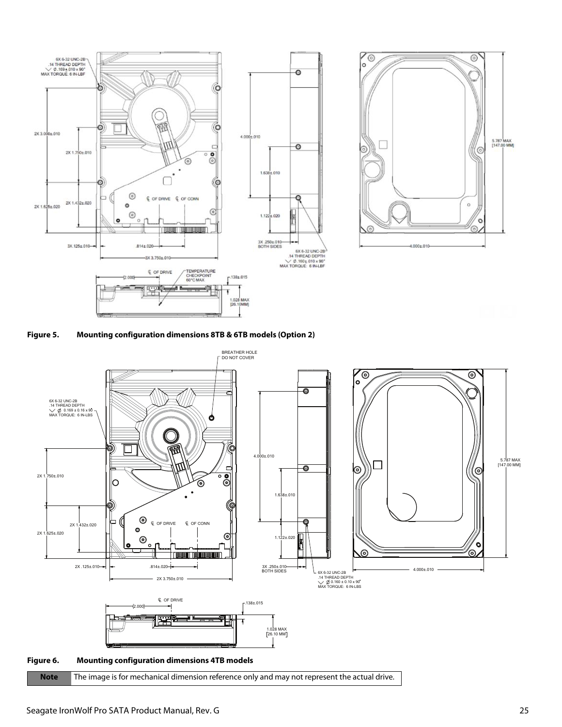









**Note** The image is for mechanical dimension reference only and may not represent the actual drive.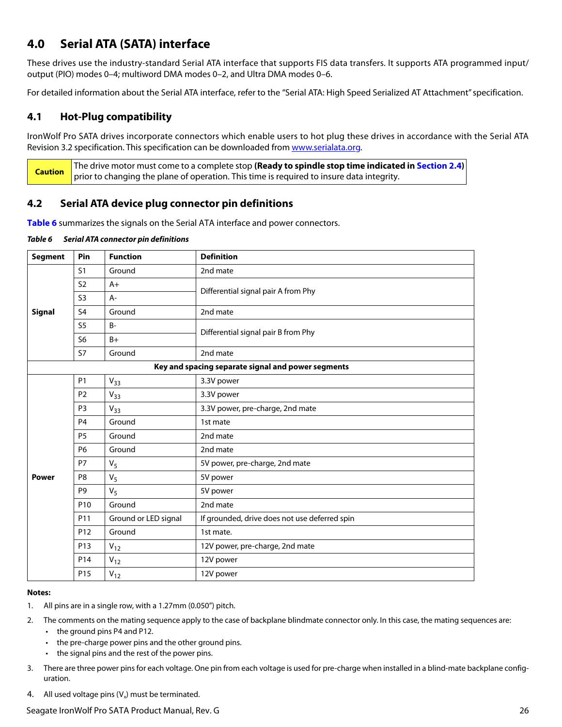## <span id="page-26-0"></span>**4.0 Serial ATA (SATA) interface**

These drives use the industry-standard Serial ATA interface that supports FIS data transfers. It supports ATA programmed input/ output (PIO) modes 0–4; multiword DMA modes 0–2, and Ultra DMA modes 0–6.

For detailed information about the Serial ATA interface, refer to the "Serial ATA: High Speed Serialized AT Attachment" specification.

### <span id="page-26-1"></span>**4.1 Hot-Plug compatibility**

IronWolf Pro SATA drives incorporate connectors which enable users to hot plug these drives in accordance with the Serial ATA Revision 3.2 specification. This specification can be downloaded from [www.serialata.or](http://www.serialata.org)g.

**Caution** The drive motor must come to a complete stop **(Ready to spindle stop time indicated in [Section 2.4](#page-9-3))** prior to changing the plane of operation. This time is required to insure data integrity.

### <span id="page-26-2"></span>**4.2 Serial ATA device plug connector pin definitions**

**Table 6** summarizes the signals on the Serial ATA interface and power connectors.

#### *Table 6 Serial ATA connector pin definitions*

| <b>Segment</b>                                                                                                                                    | Pin             | <b>Function</b>      | <b>Definition</b>                                  |  |
|---------------------------------------------------------------------------------------------------------------------------------------------------|-----------------|----------------------|----------------------------------------------------|--|
|                                                                                                                                                   | S <sub>1</sub>  | Ground               | 2nd mate                                           |  |
|                                                                                                                                                   | S <sub>2</sub>  | $A+$                 | Differential signal pair A from Phy                |  |
|                                                                                                                                                   | S <sub>3</sub>  | $A -$                |                                                    |  |
| <b>Signal</b>                                                                                                                                     | S <sub>4</sub>  | Ground               | 2nd mate                                           |  |
|                                                                                                                                                   | S <sub>5</sub>  | $B -$                |                                                    |  |
|                                                                                                                                                   | S <sub>6</sub>  | $B+$                 | Differential signal pair B from Phy                |  |
|                                                                                                                                                   | <b>S7</b>       | Ground               | 2nd mate                                           |  |
|                                                                                                                                                   |                 |                      | Key and spacing separate signal and power segments |  |
|                                                                                                                                                   | <b>P1</b>       | $V_{33}$             | 3.3V power                                         |  |
| P <sub>2</sub><br>3.3V power<br>$V_{33}$<br>P <sub>3</sub><br>$V_{33}$<br>Ground<br>P <sub>4</sub><br>1st mate<br><b>P5</b><br>Ground<br>2nd mate |                 |                      |                                                    |  |
|                                                                                                                                                   |                 |                      | 3.3V power, pre-charge, 2nd mate                   |  |
|                                                                                                                                                   |                 |                      |                                                    |  |
|                                                                                                                                                   |                 |                      |                                                    |  |
|                                                                                                                                                   | P <sub>6</sub>  | Ground               | 2nd mate                                           |  |
|                                                                                                                                                   | P7              | V <sub>5</sub>       | 5V power, pre-charge, 2nd mate                     |  |
| <b>Power</b>                                                                                                                                      | P <sub>8</sub>  | $V_5$                | 5V power                                           |  |
|                                                                                                                                                   | P <sub>9</sub>  | V <sub>5</sub>       | 5V power                                           |  |
|                                                                                                                                                   | P <sub>10</sub> | Ground               | 2nd mate                                           |  |
|                                                                                                                                                   | P11             | Ground or LED signal | If grounded, drive does not use deferred spin      |  |
|                                                                                                                                                   | P <sub>12</sub> | Ground               | 1st mate.                                          |  |
|                                                                                                                                                   | P <sub>13</sub> | $V_{12}$             | 12V power, pre-charge, 2nd mate                    |  |
|                                                                                                                                                   | P14             | $V_{12}$             | 12V power                                          |  |
|                                                                                                                                                   | P <sub>15</sub> | $V_{12}$             | 12V power                                          |  |

#### **Notes:**

- 1. All pins are in a single row, with a 1.27mm (0.050") pitch.
- 2. The comments on the mating sequence apply to the case of backplane blindmate connector only. In this case, the mating sequences are:
	- the ground pins P4 and P12.
	- the pre-charge power pins and the other ground pins.
	- the signal pins and the rest of the power pins.
- 3. There are three power pins for each voltage. One pin from each voltage is used for pre-charge when installed in a blind-mate backplane configuration.
- 4. All used voltage pins  $(V_x)$  must be terminated.

### Seagate IronWolf Pro SATA Product Manual, Rev. G 26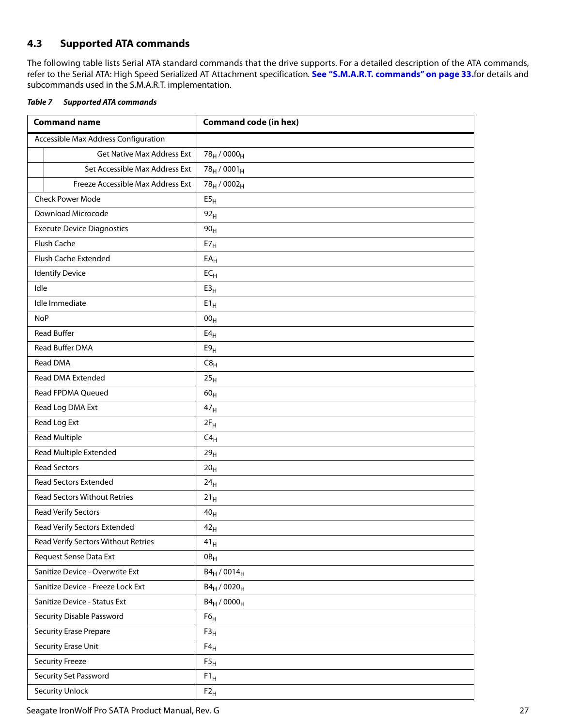### <span id="page-27-0"></span>**4.3 Supported ATA commands**

The following table lists Serial ATA standard commands that the drive supports. For a detailed description of the ATA commands, refer to the Serial ATA: High Speed Serialized AT Attachment specification. **[See "S.M.A.R.T. commands" on page 33.](#page-33-0)**for details and subcommands used in the S.M.A.R.T. implementation.

<span id="page-27-1"></span>

| Table 7 | <b>Supported ATA commands</b> |  |
|---------|-------------------------------|--|
|         |                               |  |

| <b>Command name</b>                  | <b>Command code (in hex)</b>        |
|--------------------------------------|-------------------------------------|
| Accessible Max Address Configuration |                                     |
| <b>Get Native Max Address Ext</b>    | 78 <sub>H</sub> / 0000 <sub>H</sub> |
| Set Accessible Max Address Ext       | $78_H / 0001_H$                     |
| Freeze Accessible Max Address Ext    | 78 <sub>H</sub> / 0002 <sub>H</sub> |
| <b>Check Power Mode</b>              | E5 <sub>H</sub>                     |
| Download Microcode                   | 92 <sub>H</sub>                     |
| <b>Execute Device Diagnostics</b>    | 90 <sub>H</sub>                     |
| Flush Cache                          | $E7_H$                              |
| Flush Cache Extended                 | $EA_H$                              |
| <b>Identify Device</b>               | $EC_{H}$                            |
| Idle                                 | E3 <sub>H</sub>                     |
| Idle Immediate                       | $E1_H$                              |
| <b>NoP</b>                           | 00 <sub>H</sub>                     |
| <b>Read Buffer</b>                   | E4 <sub>H</sub>                     |
| Read Buffer DMA                      | E9 <sub>H</sub>                     |
| <b>Read DMA</b>                      | C8 <sub>H</sub>                     |
| Read DMA Extended                    | 25 <sub>H</sub>                     |
| Read FPDMA Queued                    | 60 <sub>H</sub>                     |
| Read Log DMA Ext                     | 47 <sub>H</sub>                     |
| Read Log Ext                         | $2F_H$                              |
| <b>Read Multiple</b>                 | $C4_H$                              |
| Read Multiple Extended               | 29 <sub>H</sub>                     |
| <b>Read Sectors</b>                  | 20 <sub>H</sub>                     |
| <b>Read Sectors Extended</b>         | 24 <sub>H</sub>                     |
| <b>Read Sectors Without Retries</b>  | $21_H$                              |
| <b>Read Verify Sectors</b>           | 40 <sub>H</sub>                     |
| Read Verify Sectors Extended         | 42 <sub>H</sub>                     |
| Read Verify Sectors Without Retries  | 41 <sub>H</sub>                     |
| Request Sense Data Ext               | OB <sub>H</sub>                     |
| Sanitize Device - Overwrite Ext      | $B4_H / 0014_H$                     |
| Sanitize Device - Freeze Lock Ext    | $B4_H / 0020_H$                     |
| Sanitize Device - Status Ext         | $B4_H / 0000_H$                     |
| Security Disable Password            | F6 <sub>H</sub>                     |
| <b>Security Erase Prepare</b>        | F3 <sub>H</sub>                     |
| Security Erase Unit                  | $F4_H$                              |
| <b>Security Freeze</b>               | F5 <sub>H</sub>                     |
| Security Set Password                | $F1_H$                              |
| <b>Security Unlock</b>               | $F2_H$                              |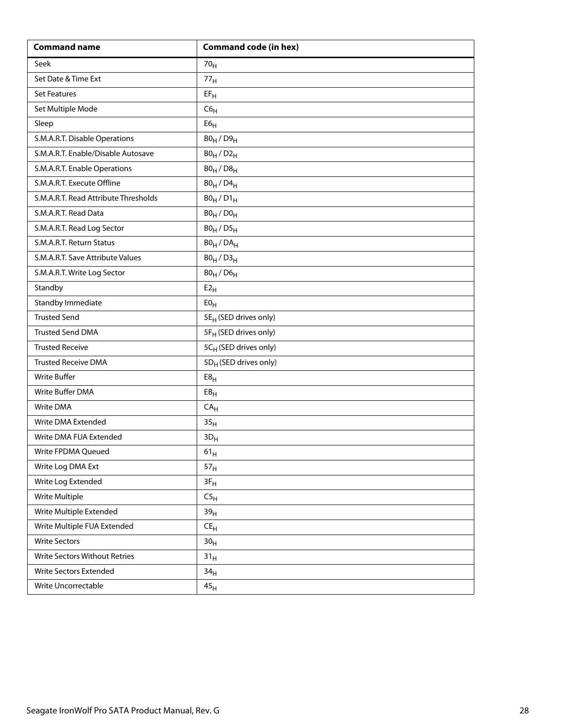| <b>Command name</b>                  | <b>Command code (in hex)</b>      |
|--------------------------------------|-----------------------------------|
| Seek                                 | 70 <sub>H</sub>                   |
| Set Date & Time Ext                  | 77 <sub>H</sub>                   |
| <b>Set Features</b>                  | $EF_H$                            |
| Set Multiple Mode                    | C6 <sub>H</sub>                   |
| Sleep                                | ${\sf E6}_{\sf H}$                |
| S.M.A.R.T. Disable Operations        | $B0_H / D9_H$                     |
| S.M.A.R.T. Enable/Disable Autosave   | $B0_H / D2_H$                     |
| S.M.A.R.T. Enable Operations         | $B0_H / D8_H$                     |
| S.M.A.R.T. Execute Offline           | $B0_H$ / $D4_H$                   |
| S.M.A.R.T. Read Attribute Thresholds | $B0_H / D1_H$                     |
| S.M.A.R.T. Read Data                 | $B0_H / D0_H$                     |
| S.M.A.R.T. Read Log Sector           | $B0_H / D5_H$                     |
| S.M.A.R.T. Return Status             | $BO_H / DA_H$                     |
| S.M.A.R.T. Save Attribute Values     | $B0_H / D3_H$                     |
| S.M.A.R.T. Write Log Sector          | $B0_H$ / $D6_H$                   |
| Standby                              | E2 <sub>H</sub>                   |
| Standby Immediate                    | E0 <sub>H</sub>                   |
| <b>Trusted Send</b>                  | 5E <sub>H</sub> (SED drives only) |
| <b>Trusted Send DMA</b>              | 5F <sub>H</sub> (SED drives only) |
| <b>Trusted Receive</b>               | 5CH (SED drives only)             |
| <b>Trusted Receive DMA</b>           | 5D <sub>H</sub> (SED drives only) |
| <b>Write Buffer</b>                  | E8 <sub>H</sub>                   |
| Write Buffer DMA                     | EB <sub>H</sub>                   |
| Write DMA                            | CA <sub>H</sub>                   |
| Write DMA Extended                   | 35 <sub>H</sub>                   |
| Write DMA FUA Extended               | $3D_H$                            |
| Write FPDMA Queued                   | $61_{\rm H}$                      |
| Write Log DMA Ext                    | 57 <sub>H</sub>                   |
| Write Log Extended                   | $3F_H$                            |
| Write Multiple                       | C5 <sub>H</sub>                   |
| Write Multiple Extended              | 39 <sub>H</sub>                   |
| Write Multiple FUA Extended          | $\mathsf{CE}_\mathsf{H}$          |
| <b>Write Sectors</b>                 | 30 <sub>H</sub>                   |
| Write Sectors Without Retries        | 31 <sub>H</sub>                   |
| Write Sectors Extended               | 34 <sub>H</sub>                   |
| Write Uncorrectable                  | 45 <sub>H</sub>                   |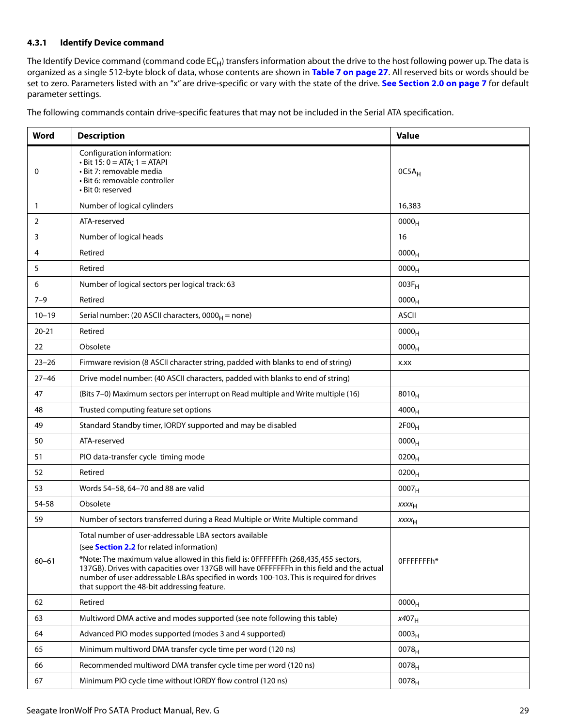### <span id="page-29-0"></span>**4.3.1 Identify Device command**

The Identify Device command (command code  $EC_H$ ) transfers information about the drive to the host following power up. The data is organized as a single 512-byte block of data, whose contents are shown in **[Table 7 on page 27](#page-27-1)**. All reserved bits or words should be set to zero. Parameters listed with an "x" are drive-specific or vary with the state of the drive. **[See Section 2.0 on page 7](#page-7-0)** for default parameter settings.

The following commands contain drive-specific features that may not be included in the Serial ATA specification.

| Word         | <b>Description</b>                                                                                                                                                                                                                                                                                                                                                                                                                       | <b>Value</b>      |
|--------------|------------------------------------------------------------------------------------------------------------------------------------------------------------------------------------------------------------------------------------------------------------------------------------------------------------------------------------------------------------------------------------------------------------------------------------------|-------------------|
| 0            | Configuration information:<br>$\cdot$ Bit 15: 0 = ATA; 1 = ATAPI<br>• Bit 7: removable media<br>· Bit 6: removable controller<br>• Bit 0: reserved                                                                                                                                                                                                                                                                                       | 0C5A <sub>H</sub> |
| $\mathbf{1}$ | Number of logical cylinders                                                                                                                                                                                                                                                                                                                                                                                                              | 16,383            |
| 2            | ATA-reserved                                                                                                                                                                                                                                                                                                                                                                                                                             | 0000 <sub>H</sub> |
| 3            | Number of logical heads                                                                                                                                                                                                                                                                                                                                                                                                                  | 16                |
| 4            | Retired                                                                                                                                                                                                                                                                                                                                                                                                                                  | 0000 <sub>H</sub> |
| 5            | Retired                                                                                                                                                                                                                                                                                                                                                                                                                                  | 0000 <sub>H</sub> |
| 6            | Number of logical sectors per logical track: 63                                                                                                                                                                                                                                                                                                                                                                                          | $003F_H$          |
| $7 - 9$      | Retired                                                                                                                                                                                                                                                                                                                                                                                                                                  | 0000 <sub>H</sub> |
| $10 - 19$    | Serial number: (20 ASCII characters, $0000_H$ = none)                                                                                                                                                                                                                                                                                                                                                                                    | <b>ASCII</b>      |
| $20 - 21$    | Retired                                                                                                                                                                                                                                                                                                                                                                                                                                  | 0000 <sub>H</sub> |
| 22           | Obsolete                                                                                                                                                                                                                                                                                                                                                                                                                                 | 0000 <sub>H</sub> |
| $23 - 26$    | Firmware revision (8 ASCII character string, padded with blanks to end of string)                                                                                                                                                                                                                                                                                                                                                        | X.XX              |
| $27 - 46$    | Drive model number: (40 ASCII characters, padded with blanks to end of string)                                                                                                                                                                                                                                                                                                                                                           |                   |
| 47           | (Bits 7-0) Maximum sectors per interrupt on Read multiple and Write multiple (16)                                                                                                                                                                                                                                                                                                                                                        | $8010_H$          |
| 48           | Trusted computing feature set options                                                                                                                                                                                                                                                                                                                                                                                                    | 4000 <sub>H</sub> |
| 49           | Standard Standby timer, IORDY supported and may be disabled                                                                                                                                                                                                                                                                                                                                                                              | 2F00 <sub>H</sub> |
| 50           | ATA-reserved                                                                                                                                                                                                                                                                                                                                                                                                                             | 0000 <sub>H</sub> |
| 51           | PIO data-transfer cycle timing mode<br>$0200_{H}$                                                                                                                                                                                                                                                                                                                                                                                        |                   |
| 52           | Retired                                                                                                                                                                                                                                                                                                                                                                                                                                  | $0200_H$          |
| 53           | Words 54-58, 64-70 and 88 are valid<br>0007 <sub>H</sub>                                                                                                                                                                                                                                                                                                                                                                                 |                   |
| 54-58        | Obsolete                                                                                                                                                                                                                                                                                                                                                                                                                                 | $xxxx_{H}$        |
| 59           | Number of sectors transferred during a Read Multiple or Write Multiple command                                                                                                                                                                                                                                                                                                                                                           | XXXH              |
| $60 - 61$    | Total number of user-addressable LBA sectors available<br>(see <b>Section 2.2</b> for related information)<br>*Note: The maximum value allowed in this field is: 0FFFFFFFh (268,435,455 sectors,<br>137GB). Drives with capacities over 137GB will have OFFFFFFFh in this field and the actual<br>number of user-addressable LBAs specified in words 100-103. This is required for drives<br>that support the 48-bit addressing feature. | OFFFFFFFh*        |
| 62           | Retired                                                                                                                                                                                                                                                                                                                                                                                                                                  | 0000 <sub>H</sub> |
| 63           | Multiword DMA active and modes supported (see note following this table)                                                                                                                                                                                                                                                                                                                                                                 | $x407_H$          |
| 64           | Advanced PIO modes supported (modes 3 and 4 supported)                                                                                                                                                                                                                                                                                                                                                                                   | 0003 <sub>H</sub> |
| 65           | Minimum multiword DMA transfer cycle time per word (120 ns)                                                                                                                                                                                                                                                                                                                                                                              | $0078_H$          |
| 66           | Recommended multiword DMA transfer cycle time per word (120 ns)                                                                                                                                                                                                                                                                                                                                                                          | 0078 <sub>H</sub> |
| 67           | Minimum PIO cycle time without IORDY flow control (120 ns)                                                                                                                                                                                                                                                                                                                                                                               | $0078_H$          |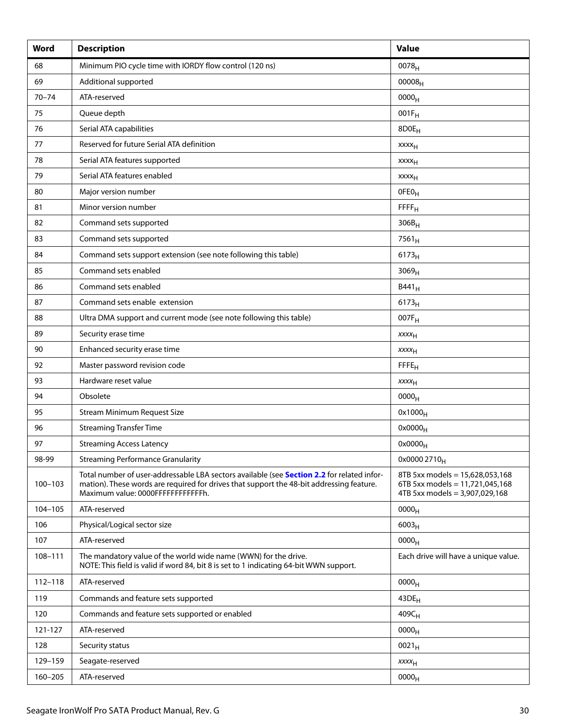| Word        | <b>Description</b>                                                                                                                                                                                                          | <b>Value</b>                                                                                         |
|-------------|-----------------------------------------------------------------------------------------------------------------------------------------------------------------------------------------------------------------------------|------------------------------------------------------------------------------------------------------|
| 68          | Minimum PIO cycle time with IORDY flow control (120 ns)                                                                                                                                                                     | 0078 <sub>H</sub>                                                                                    |
| 69          | Additional supported                                                                                                                                                                                                        | $00008_{H}$                                                                                          |
| $70 - 74$   | ATA-reserved                                                                                                                                                                                                                | 0000 <sub>H</sub>                                                                                    |
| 75          | Queue depth                                                                                                                                                                                                                 | $001F_H$                                                                                             |
| 76          | Serial ATA capabilities                                                                                                                                                                                                     | 8D0E <sub>H</sub>                                                                                    |
| 77          | Reserved for future Serial ATA definition                                                                                                                                                                                   | xxxx <sub>H</sub>                                                                                    |
| 78          | Serial ATA features supported                                                                                                                                                                                               | <b>XXXX<sub>H</sub></b>                                                                              |
| 79          | Serial ATA features enabled                                                                                                                                                                                                 | <b>XXXX<sub>H</sub></b>                                                                              |
| 80          | Major version number                                                                                                                                                                                                        | OFEO <sub>H</sub>                                                                                    |
| 81          | Minor version number                                                                                                                                                                                                        | FFFF <sub>H</sub>                                                                                    |
| 82          | Command sets supported                                                                                                                                                                                                      | $306B_H$                                                                                             |
| 83          | Command sets supported                                                                                                                                                                                                      | $7561_H$                                                                                             |
| 84          | Command sets support extension (see note following this table)                                                                                                                                                              | 6173 <sub>H</sub>                                                                                    |
| 85          | Command sets enabled                                                                                                                                                                                                        | 3069 <sub>H</sub>                                                                                    |
| 86          | Command sets enabled                                                                                                                                                                                                        | $B441_H$                                                                                             |
| 87          | Command sets enable extension<br>$6173_H$                                                                                                                                                                                   |                                                                                                      |
| 88          | Ultra DMA support and current mode (see note following this table)                                                                                                                                                          | 007F <sub>H</sub>                                                                                    |
| 89          | Security erase time<br>$xxxx_{H}$                                                                                                                                                                                           |                                                                                                      |
| 90          | Enhanced security erase time                                                                                                                                                                                                | $xxxx_{H}$                                                                                           |
| 92          | Master password revision code                                                                                                                                                                                               | FFE <sub>H</sub>                                                                                     |
| 93          | Hardware reset value                                                                                                                                                                                                        | <b>XXXX<sub>H</sub></b>                                                                              |
| 94          | Obsolete                                                                                                                                                                                                                    | 0000 <sub>H</sub>                                                                                    |
| 95          | <b>Stream Minimum Request Size</b>                                                                                                                                                                                          | $0x1000_H$                                                                                           |
| 96          | <b>Streaming Transfer Time</b>                                                                                                                                                                                              | $0x0000_H$                                                                                           |
| 97          | <b>Streaming Access Latency</b>                                                                                                                                                                                             | $0x0000_H$                                                                                           |
| 98-99       | <b>Streaming Performance Granularity</b>                                                                                                                                                                                    | 0x0000 2710 <sub>H</sub>                                                                             |
| $100 - 103$ | Total number of user-addressable LBA sectors available (see Section 2.2 for related infor-<br>mation). These words are required for drives that support the 48-bit addressing feature.<br>Maximum value: 0000FFFFFFFFFFFFh. | 8TB 5xx models = 15,628,053,168<br>6TB 5xx models = 11,721,045,168<br>4TB 5xx models = 3,907,029,168 |
| 104-105     | ATA-reserved                                                                                                                                                                                                                | 0000 <sub>H</sub>                                                                                    |
| 106         | Physical/Logical sector size                                                                                                                                                                                                | $6003_H$                                                                                             |
| 107         | ATA-reserved                                                                                                                                                                                                                | 0000 <sub>H</sub>                                                                                    |
| 108-111     | The mandatory value of the world wide name (WWN) for the drive.<br>NOTE: This field is valid if word 84, bit 8 is set to 1 indicating 64-bit WWN support.                                                                   | Each drive will have a unique value.                                                                 |
| $112 - 118$ | ATA-reserved                                                                                                                                                                                                                | 0000 <sub>H</sub>                                                                                    |
| 119         | Commands and feature sets supported                                                                                                                                                                                         | $43DE_H$                                                                                             |
| 120         | Commands and feature sets supported or enabled                                                                                                                                                                              | $409C_H$                                                                                             |
| 121-127     | ATA-reserved                                                                                                                                                                                                                | 0000 <sub>H</sub>                                                                                    |
| 128         | Security status                                                                                                                                                                                                             | $0021_H$                                                                                             |
| 129-159     | Seagate-reserved                                                                                                                                                                                                            | $xxxx_{H}$                                                                                           |
| 160-205     | ATA-reserved                                                                                                                                                                                                                | 0000 <sub>H</sub>                                                                                    |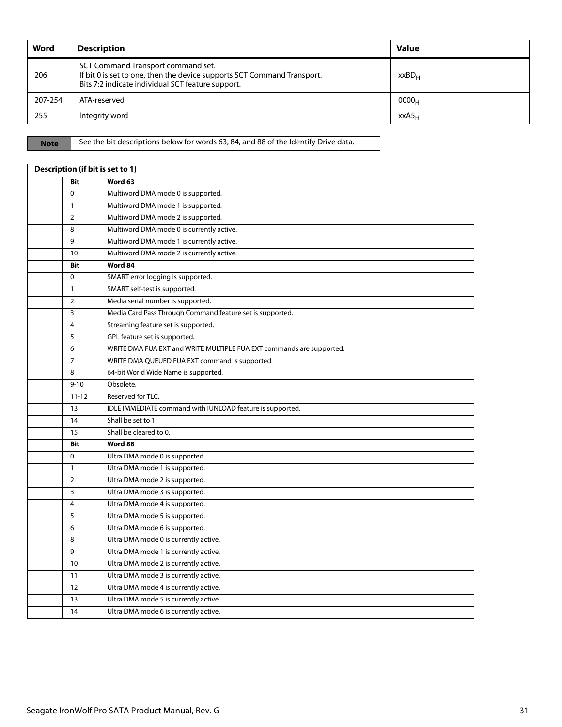| Word    | <b>Description</b>                                                                                                                                                 | <b>Value</b>      |
|---------|--------------------------------------------------------------------------------------------------------------------------------------------------------------------|-------------------|
| 206     | SCT Command Transport command set.<br>If bit 0 is set to one, then the device supports SCT Command Transport.<br>Bits 7:2 indicate individual SCT feature support. | $XXBD_{H}$        |
| 207-254 | ATA-reserved                                                                                                                                                       | 0000 <sub>H</sub> |
| 255     | Integrity word                                                                                                                                                     | $XXAS_H$          |

**Note** See the bit descriptions below for words 63, 84, and 88 of the Identify Drive data.

| Description (if bit is set to 1) |                                                                      |  |
|----------------------------------|----------------------------------------------------------------------|--|
| <b>Bit</b>                       | Word 63                                                              |  |
| $\Omega$                         | Multiword DMA mode 0 is supported.                                   |  |
| $\mathbf{1}$                     | Multiword DMA mode 1 is supported.                                   |  |
| $\overline{2}$                   | Multiword DMA mode 2 is supported.                                   |  |
| 8                                | Multiword DMA mode 0 is currently active.                            |  |
| 9                                | Multiword DMA mode 1 is currently active.                            |  |
| 10                               | Multiword DMA mode 2 is currently active.                            |  |
| <b>Bit</b>                       | Word 84                                                              |  |
| $\mathbf 0$                      | SMART error logging is supported.                                    |  |
| $\mathbf{1}$                     | SMART self-test is supported.                                        |  |
| $\overline{2}$                   | Media serial number is supported.                                    |  |
| 3                                | Media Card Pass Through Command feature set is supported.            |  |
| $\overline{4}$                   | Streaming feature set is supported.                                  |  |
| 5                                | GPL feature set is supported.                                        |  |
| 6                                | WRITE DMA FUA EXT and WRITE MULTIPLE FUA EXT commands are supported. |  |
| $\overline{7}$                   | WRITE DMA QUEUED FUA EXT command is supported.                       |  |
| 8                                | 64-bit World Wide Name is supported.                                 |  |
| $9 - 10$                         | Obsolete.                                                            |  |
| $11 - 12$                        | Reserved for TLC.                                                    |  |
| 13                               | IDLE IMMEDIATE command with IUNLOAD feature is supported.            |  |
| 14                               | Shall be set to 1.                                                   |  |
| 15                               | Shall be cleared to 0.                                               |  |
| Bit                              | Word 88                                                              |  |
| $\Omega$                         | Ultra DMA mode 0 is supported.                                       |  |
| $\mathbf{1}$                     | Ultra DMA mode 1 is supported.                                       |  |
| $\overline{2}$                   | Ultra DMA mode 2 is supported.                                       |  |
| 3                                | Ultra DMA mode 3 is supported.                                       |  |
| $\overline{4}$                   | Ultra DMA mode 4 is supported.                                       |  |
| 5                                | Ultra DMA mode 5 is supported.                                       |  |
| 6                                | Ultra DMA mode 6 is supported.                                       |  |
| 8                                | Ultra DMA mode 0 is currently active.                                |  |
| 9                                | Ultra DMA mode 1 is currently active.                                |  |
| 10                               | Ultra DMA mode 2 is currently active.                                |  |
| 11                               | Ultra DMA mode 3 is currently active.                                |  |
| 12                               | Ultra DMA mode 4 is currently active.                                |  |
| 13                               | Ultra DMA mode 5 is currently active.                                |  |
| 14                               | Ultra DMA mode 6 is currently active.                                |  |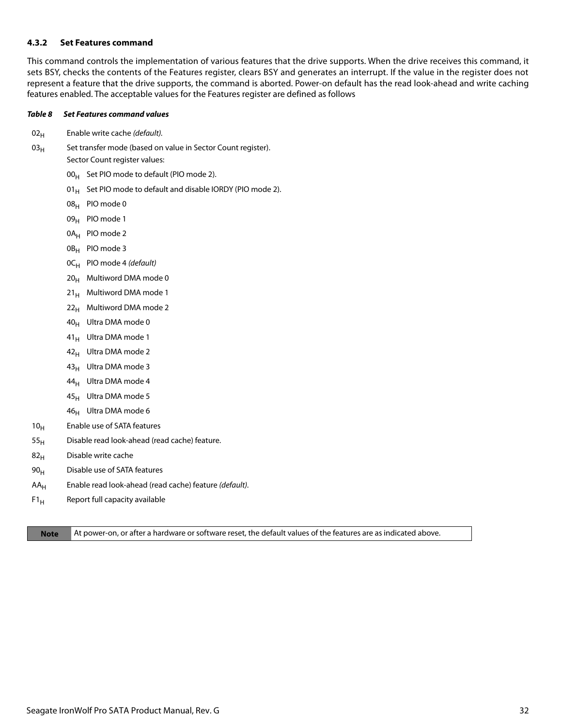#### <span id="page-32-0"></span>**4.3.2 Set Features command**

This command controls the implementation of various features that the drive supports. When the drive receives this command, it sets BSY, checks the contents of the Features register, clears BSY and generates an interrupt. If the value in the register does not represent a feature that the drive supports, the command is aborted. Power-on default has the read look-ahead and write caching features enabled. The acceptable values for the Features register are defined as follows

#### *Table 8 Set Features command values*

- $02_H$  Enable write cache (default).
- $03_H$  Set transfer mode (based on value in Sector Count register). Sector Count register values:
	- $00_H$  Set PIO mode to default (PIO mode 2).
	- 01 $_{\rm H}$  Set PIO mode to default and disable IORDY (PIO mode 2).
	- 08H PIO mode 0
	- 09<sub>H</sub> PIO mode 1
	- 0A<sub>H</sub> PIO mode 2
	- 0B<sub>H</sub> PIO mode 3
	- $OC_H$  PIO mode 4 (default)
	- $20_H$  Multiword DMA mode 0
	- $21_H$  Multiword DMA mode 1
	- $22<sub>H</sub>$  Multiword DMA mode 2
	- 40H Ultra DMA mode 0
	- 41<sub>H</sub> Ultra DMA mode 1
	- $42_H$  Ultra DMA mode 2
	- $43_H$  Ultra DMA mode 3
	- $44_H$  Ultra DMA mode 4
	- $45_H$  Ultra DMA mode 5
	- $46_H$  Ultra DMA mode 6
- 10<sub>H</sub> Enable use of SATA features
- $55<sub>H</sub>$  Disable read look-ahead (read cache) feature.
- $82<sub>H</sub>$  Disable write cache
- $90<sub>H</sub>$  Disable use of SATA features
- $AA_H$  Enable read look-ahead (read cache) feature (default).
- $F1_H$  Report full capacity available

**Note** At power-on, or after a hardware or software reset, the default values of the features are as indicated above.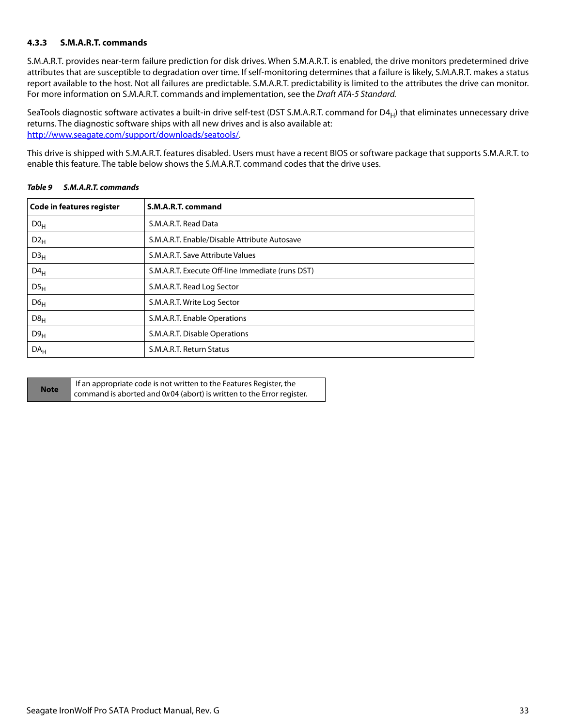### <span id="page-33-0"></span>**4.3.3 S.M.A.R.T. commands**

S.M.A.R.T. provides near-term failure prediction for disk drives. When S.M.A.R.T. is enabled, the drive monitors predetermined drive attributes that are susceptible to degradation over time. If self-monitoring determines that a failure is likely, S.M.A.R.T. makes a status report available to the host. Not all failures are predictable. S.M.A.R.T. predictability is limited to the attributes the drive can monitor. For more information on S.M.A.R.T. commands and implementation, see the Draft ATA-5 Standard.

SeaTools diagnostic software activates a built-in drive self-test (DST S.M.A.R.T. command for  $D4_H$ ) that eliminates unnecessary drive returns. The diagnostic software ships with all new drives and is also available at: [http://www.seagate.com/support/downloads/seatools/](http://www.seagate.com/support/downloads/seatools/ ).

This drive is shipped with S.M.A.R.T. features disabled. Users must have a recent BIOS or software package that supports S.M.A.R.T. to enable this feature. The table below shows the S.M.A.R.T. command codes that the drive uses.

| <b>Code in features register</b> | S.M.A.R.T. command                               |
|----------------------------------|--------------------------------------------------|
| D0 <sub>H</sub>                  | S.M.A.R.T. Read Data                             |
| $D2_{H}$                         | S.M.A.R.T. Enable/Disable Attribute Autosave     |
| D3 <sub>H</sub>                  | S.M.A.R.T. Save Attribute Values                 |
| $D4_H$                           | S.M.A.R.T. Execute Off-line Immediate (runs DST) |
| DS <sub>H</sub>                  | S.M.A.R.T. Read Log Sector                       |
| D6 <sub>H</sub>                  | S.M.A.R.T. Write Log Sector                      |
| D8 <sub>H</sub>                  | S.M.A.R.T. Enable Operations                     |
| D9 <sub>H</sub>                  | S.M.A.R.T. Disable Operations                    |
| DA <sub>H</sub>                  | S.M.A.R.T. Return Status                         |

*Table 9 S.M.A.R.T. commands*

| <b>Note</b> | If an appropriate code is not written to the Features Register, the   |
|-------------|-----------------------------------------------------------------------|
|             | command is aborted and 0x04 (abort) is written to the Error register. |